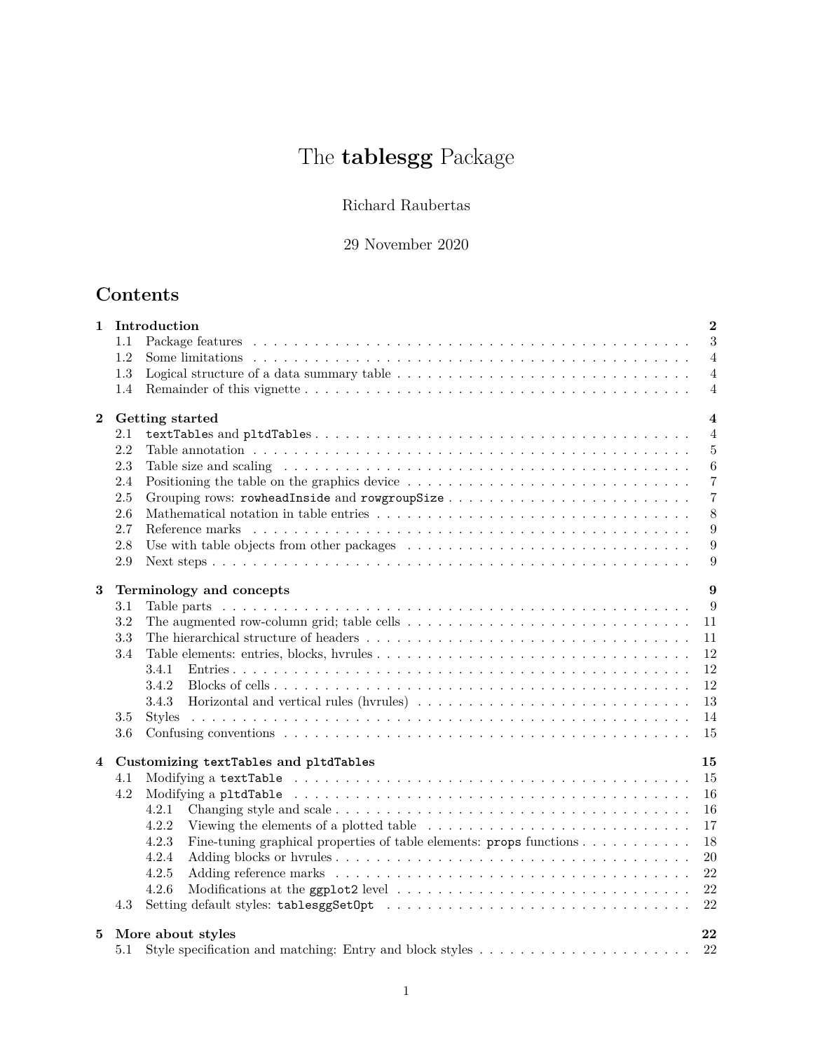# The **tablesgg** Package

## Richard Raubertas

## 29 November 2020

## **Contents**

| $\mathbf{1}$ |     | Introduction<br>$\overline{2}$                                                                                                     |
|--------------|-----|------------------------------------------------------------------------------------------------------------------------------------|
|              | 1.1 | 3                                                                                                                                  |
|              | 1.2 | $\overline{4}$                                                                                                                     |
|              | 1.3 | $\overline{4}$                                                                                                                     |
|              | 1.4 | 4                                                                                                                                  |
| $\mathbf{2}$ |     | Getting started<br>$\overline{\mathbf{4}}$                                                                                         |
|              | 2.1 | $\overline{4}$                                                                                                                     |
|              | 2.2 | $5\,$                                                                                                                              |
|              | 2.3 | 6                                                                                                                                  |
|              | 2.4 | $\overline{7}$<br>Positioning the table on the graphics device $\dots \dots \dots \dots \dots \dots \dots \dots \dots \dots \dots$ |
|              | 2.5 | $\overline{7}$                                                                                                                     |
|              | 2.6 | 8                                                                                                                                  |
|              | 2.7 | $\boldsymbol{9}$                                                                                                                   |
|              | 2.8 | $\boldsymbol{9}$                                                                                                                   |
|              | 2.9 | 9                                                                                                                                  |
| 3            |     | Terminology and concepts<br>9                                                                                                      |
|              | 3.1 | 9                                                                                                                                  |
|              | 3.2 | The augmented row-column grid; table cells $\dots \dots \dots \dots \dots \dots \dots \dots \dots \dots \dots \dots$<br>11         |
|              | 3.3 | 11                                                                                                                                 |
|              | 3.4 | 12                                                                                                                                 |
|              |     | 12<br>3.4.1                                                                                                                        |
|              |     | 12<br>3.4.2                                                                                                                        |
|              |     | 13<br>3.4.3                                                                                                                        |
|              | 3.5 | 14                                                                                                                                 |
|              | 3.6 | 15                                                                                                                                 |
| 4            |     | 15<br>Customizing textTables and pltdTables                                                                                        |
|              | 4.1 | 15                                                                                                                                 |
|              | 4.2 | 16                                                                                                                                 |
|              |     | 4.2.1<br>16                                                                                                                        |
|              |     | 4.2.2<br>17                                                                                                                        |
|              |     | 4.2.3<br>Fine-tuning graphical properties of table elements: $\mathbf{props}$ functions<br>18                                      |
|              |     | 4.2.4<br>$20\,$                                                                                                                    |
|              |     | 4.2.5<br>22                                                                                                                        |
|              |     | 22<br>4.2.6                                                                                                                        |
|              | 4.3 | 22                                                                                                                                 |
| 5            |     | More about styles<br>22                                                                                                            |
|              | 5.1 | 22<br>Style specification and matching: Entry and block styles $\ldots \ldots \ldots \ldots \ldots \ldots \ldots$                  |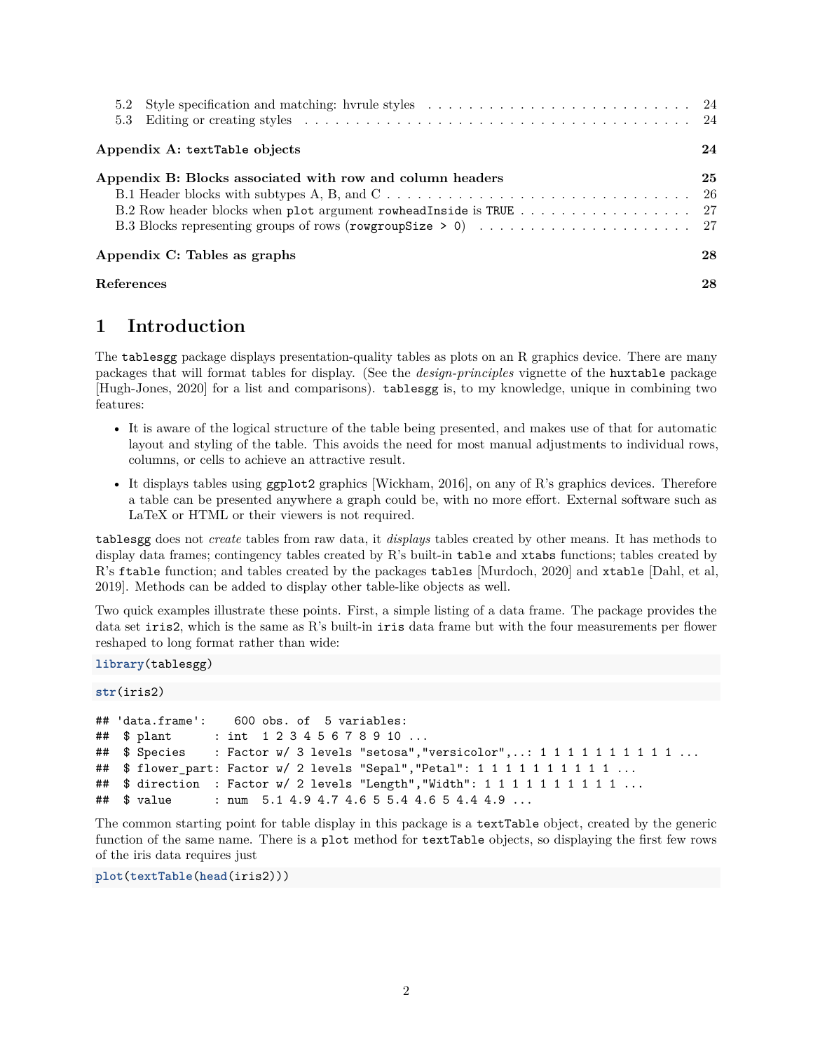| 5.2 Style specification and matching: hvrule styles $\ldots \ldots \ldots \ldots \ldots \ldots \ldots \ldots \ldots$ 24 |    |
|-------------------------------------------------------------------------------------------------------------------------|----|
| Appendix A: textTable objects                                                                                           | 24 |
| Appendix B: Blocks associated with row and column headers                                                               | 25 |
|                                                                                                                         |    |
|                                                                                                                         |    |
|                                                                                                                         |    |
| Appendix C: Tables as graphs                                                                                            | 28 |
| References                                                                                                              | 28 |

## <span id="page-1-0"></span>**1 Introduction**

The tablesgg package displays presentation-quality tables as plots on an R graphics device. There are many packages that will format tables for display. (See the *design-principles* vignette of the huxtable package [Hugh-Jones, 2020] for a list and comparisons). tablesgg is, to my knowledge, unique in combining two features:

- It is aware of the logical structure of the table being presented, and makes use of that for automatic layout and styling of the table. This avoids the need for most manual adjustments to individual rows, columns, or cells to achieve an attractive result.
- It displays tables using ggplot2 graphics [Wickham, 2016], on any of R's graphics devices. Therefore a table can be presented anywhere a graph could be, with no more effort. External software such as LaTeX or HTML or their viewers is not required.

tablesgg does not *create* tables from raw data, it *displays* tables created by other means. It has methods to display data frames; contingency tables created by  $R$ 's built-in table and xtabs functions; tables created by R's ftable function; and tables created by the packages tables [Murdoch, 2020] and xtable [Dahl, et al, 2019]. Methods can be added to display other table-like objects as well.

Two quick examples illustrate these points. First, a simple listing of a data frame. The package provides the data set iris2, which is the same as R's built-in iris data frame but with the four measurements per flower reshaped to long format rather than wide:

**library**(tablesgg)

```
str(iris2)
```

```
## 'data.frame': 600 obs. of 5 variables:
## $ plant : int 1 2 3 4 5 6 7 8 9 10 ...
## $ Species : Factor w/ 3 levels "setosa", "versicolor",..: 1 1 1 1 1 1 1 1 1 1 ...
## $ flower_part: Factor w/ 2 levels "Sepal", "Petal": 1 1 1 1 1 1 1 1 1 1 ...
## $ direction : Factor w/ 2 levels "Length", "Width": 1 1 1 1 1 1 1 1 1 1 ...
## $ value : num 5.1 4.9 4.7 4.6 5 5.4 4.6 5 4.4 4.9 ...
```
The common starting point for table display in this package is a textTable object, created by the generic function of the same name. There is a plot method for textTable objects, so displaying the first few rows of the iris data requires just

**plot**(**textTable**(**head**(iris2)))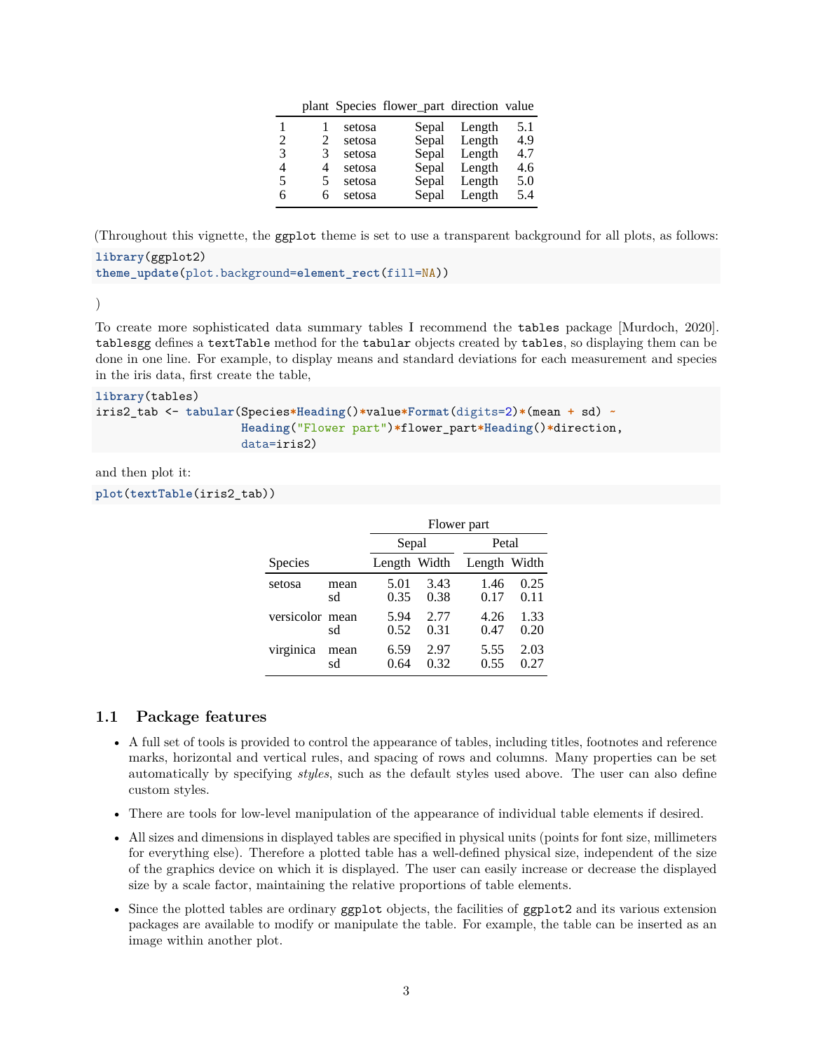|  | plant Species flower_part direction value |  |  |  |
|--|-------------------------------------------|--|--|--|
|--|-------------------------------------------|--|--|--|

|   |   | setosa | Sepal | Length | 5.1 |
|---|---|--------|-------|--------|-----|
| 2 | 2 | setosa | Sepal | Length | 4.9 |
| 3 | 3 | setosa | Sepal | Length | 4.7 |
| 4 | 4 | setosa | Sepal | Length | 4.6 |
| 5 | 5 | setosa | Sepal | Length | 5.0 |
| 6 | 6 | setosa | Sepal | Length | 5.4 |

(Throughout this vignette, the ggplot theme is set to use a transparent background for all plots, as follows:

```
library(ggplot2)
theme_update(plot.background=element_rect(fill=NA))
```
)

To create more sophisticated data summary tables I recommend the tables package [Murdoch, 2020]. tablesgg defines a textTable method for the tabular objects created by tables, so displaying them can be done in one line. For example, to display means and standard deviations for each measurement and species in the iris data, first create the table,

```
library(tables)
iris2_tab <- tabular(Species*Heading()*value*Format(digits=2)*(mean + sd) ~
                     Heading("Flower part")*flower_part*Heading()*direction,
                     data=iris2)
```
and then plot it:

**plot**(**textTable**(iris2\_tab))

|                 |            | Flower part  |              |              |              |  |
|-----------------|------------|--------------|--------------|--------------|--------------|--|
|                 |            | Sepal        |              | Petal        |              |  |
| Species         |            | Length Width |              | Length Width |              |  |
| setosa          | mean<br>sd | 5.01<br>0.35 | 3.43<br>0.38 | 1.46<br>0.17 | 0.25<br>0.11 |  |
| versicolor mean | sd         | 5.94<br>0.52 | 2.77<br>0.31 | 4.26<br>0.47 | 1.33<br>0.20 |  |
| virginica       | mean<br>sd | 6.59<br>0.64 | 2.97<br>0.32 | 5.55<br>0.55 | 2.03<br>0.27 |  |

#### <span id="page-2-0"></span>**1.1 Package features**

- A full set of tools is provided to control the appearance of tables, including titles, footnotes and reference marks, horizontal and vertical rules, and spacing of rows and columns. Many properties can be set automatically by specifying *styles*, such as the default styles used above. The user can also define custom styles.
- There are tools for low-level manipulation of the appearance of individual table elements if desired.
- All sizes and dimensions in displayed tables are specified in physical units (points for font size, millimeters for everything else). Therefore a plotted table has a well-defined physical size, independent of the size of the graphics device on which it is displayed. The user can easily increase or decrease the displayed size by a scale factor, maintaining the relative proportions of table elements.
- Since the plotted tables are ordinary ggplot objects, the facilities of ggplot2 and its various extension packages are available to modify or manipulate the table. For example, the table can be inserted as an image within another plot.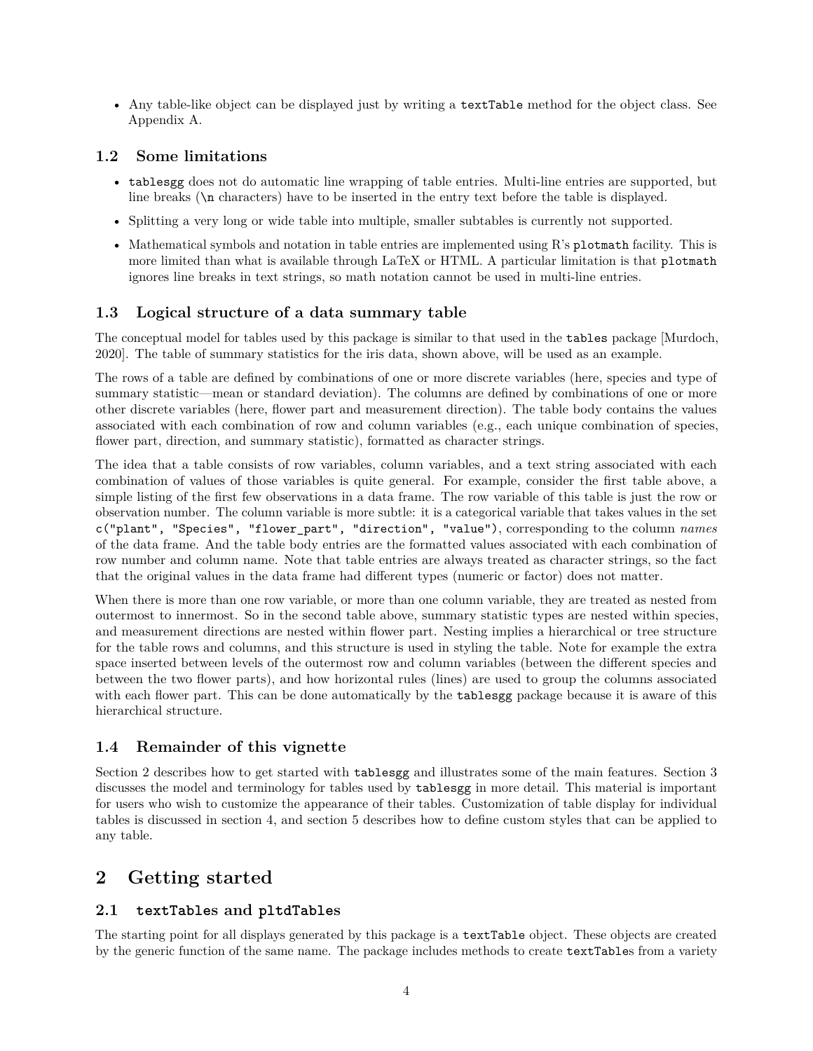• Any table-like object can be displayed just by writing a textTable method for the object class. See Appendix A.

### <span id="page-3-0"></span>**1.2 Some limitations**

- tablesgg does not do automatic line wrapping of table entries. Multi-line entries are supported, but line breaks (\n characters) have to be inserted in the entry text before the table is displayed.
- Splitting a very long or wide table into multiple, smaller subtables is currently not supported.
- Mathematical symbols and notation in table entries are implemented using R's plotmath facility. This is more limited than what is available through LaTeX or HTML. A particular limitation is that plotmath ignores line breaks in text strings, so math notation cannot be used in multi-line entries.

## <span id="page-3-1"></span>**1.3 Logical structure of a data summary table**

The conceptual model for tables used by this package is similar to that used in the tables package [Murdoch, 2020]. The table of summary statistics for the iris data, shown above, will be used as an example.

The rows of a table are defined by combinations of one or more discrete variables (here, species and type of summary statistic—mean or standard deviation). The columns are defined by combinations of one or more other discrete variables (here, flower part and measurement direction). The table body contains the values associated with each combination of row and column variables (e.g., each unique combination of species, flower part, direction, and summary statistic), formatted as character strings.

The idea that a table consists of row variables, column variables, and a text string associated with each combination of values of those variables is quite general. For example, consider the first table above, a simple listing of the first few observations in a data frame. The row variable of this table is just the row or observation number. The column variable is more subtle: it is a categorical variable that takes values in the set c("plant", "Species", "flower\_part", "direction", "value"), corresponding to the column *names* of the data frame. And the table body entries are the formatted values associated with each combination of row number and column name. Note that table entries are always treated as character strings, so the fact that the original values in the data frame had different types (numeric or factor) does not matter.

When there is more than one row variable, or more than one column variable, they are treated as nested from outermost to innermost. So in the second table above, summary statistic types are nested within species, and measurement directions are nested within flower part. Nesting implies a hierarchical or tree structure for the table rows and columns, and this structure is used in styling the table. Note for example the extra space inserted between levels of the outermost row and column variables (between the different species and between the two flower parts), and how horizontal rules (lines) are used to group the columns associated with each flower part. This can be done automatically by the **tablesgg** package because it is aware of this hierarchical structure.

## <span id="page-3-2"></span>**1.4 Remainder of this vignette**

Section 2 describes how to get started with tablesgg and illustrates some of the main features. Section 3 discusses the model and terminology for tables used by tablesgg in more detail. This material is important for users who wish to customize the appearance of their tables. Customization of table display for individual tables is discussed in section 4, and section 5 describes how to define custom styles that can be applied to any table.

## <span id="page-3-3"></span>**2 Getting started**

## <span id="page-3-4"></span>**2.1 textTables and pltdTables**

The starting point for all displays generated by this package is a textTable object. These objects are created by the generic function of the same name. The package includes methods to create textTables from a variety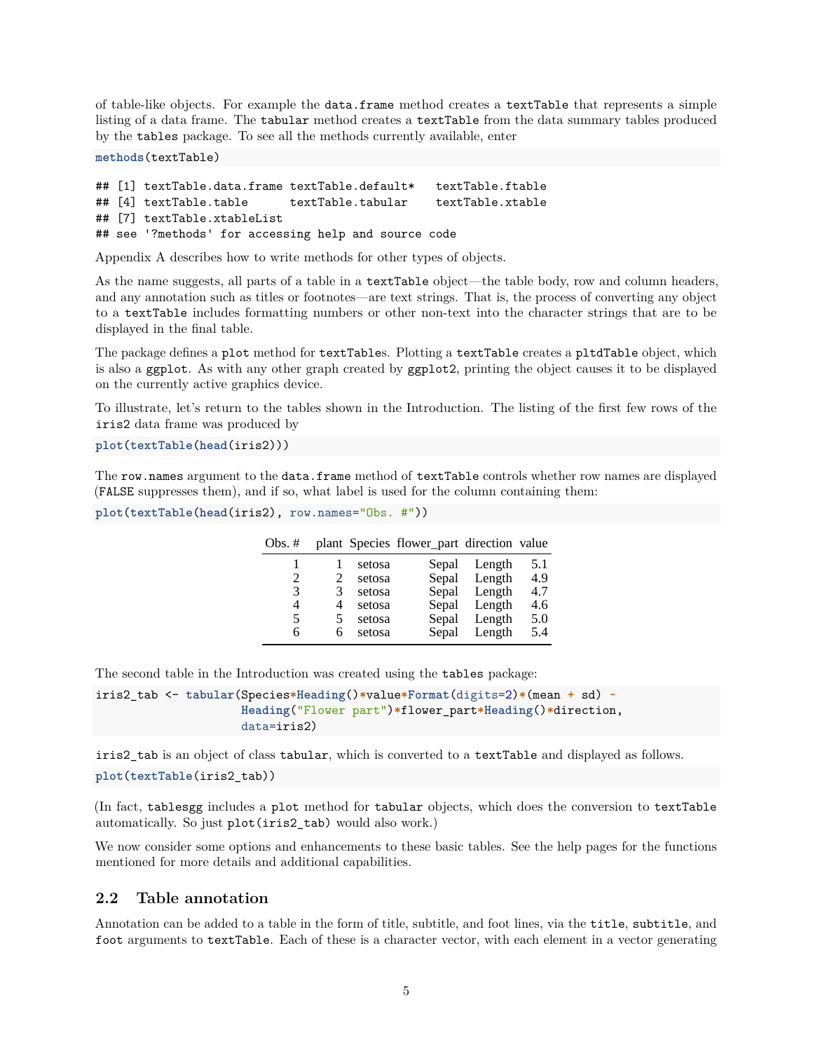of table-like objects. For example the data.frame method creates a textTable that represents a simple listing of a data frame. The tabular method creates a textTable from the data summary tables produced by the tables package. To see all the methods currently available, enter

**methods**(textTable)

```
## [1] textTable.data.frame textTable.default* textTable.ftable
## [4] textTable.table textTable.tabular textTable.xtable
## [7] textTable.xtableList
## see '?methods' for accessing help and source code
```
Appendix A describes how to write methods for other types of objects.

As the name suggests, all parts of a table in a textTable object—the table body, row and column headers, and any annotation such as titles or footnotes—are text strings. That is, the process of converting any object to a textTable includes formatting numbers or other non-text into the character strings that are to be displayed in the final table.

The package defines a plot method for textTables. Plotting a textTable creates a pltdTable object, which is also a ggplot. As with any other graph created by ggplot2, printing the object causes it to be displayed on the currently active graphics device.

To illustrate, let's return to the tables shown in the Introduction. The listing of the first few rows of the iris2 data frame was produced by

**plot**(**textTable**(**head**(iris2)))

The row.names argument to the data.frame method of textTable controls whether row names are displayed (FALSE suppresses them), and if so, what label is used for the column containing them:

```
plot(textTable(head(iris2), row.names="Obs. #"))
```

| Obs. $#$ |    |        | plant Species flower_part direction value |        |     |
|----------|----|--------|-------------------------------------------|--------|-----|
|          |    | setosa | Sepal                                     | Length | 5.1 |
| 2        | 2  | setosa | Sepal                                     | Length | 4.9 |
| 3        | 3  | setosa | Sepal                                     | Length | 4.7 |
| 4        | 4  | setosa | Sepal                                     | Length | 4.6 |
| 5        | 5. | setosa | Sepal                                     | Length | 5.0 |
| 6        | 6  | setosa | Sepal                                     | Length | 5.4 |

The second table in the Introduction was created using the tables package:

```
iris2_tab <- tabular(Species*Heading()*value*Format(digits=2)*(mean + sd) ~
                     Heading("Flower part")*flower_part*Heading()*direction,
                     data=iris2)
```
iris2\_tab is an object of class tabular, which is converted to a textTable and displayed as follows.

**plot**(**textTable**(iris2\_tab))

(In fact, tablesgg includes a plot method for tabular objects, which does the conversion to textTable automatically. So just plot(iris2\_tab) would also work.)

We now consider some options and enhancements to these basic tables. See the help pages for the functions mentioned for more details and additional capabilities.

#### <span id="page-4-0"></span>**2.2 Table annotation**

Annotation can be added to a table in the form of title, subtitle, and foot lines, via the title, subtitle, and foot arguments to textTable. Each of these is a character vector, with each element in a vector generating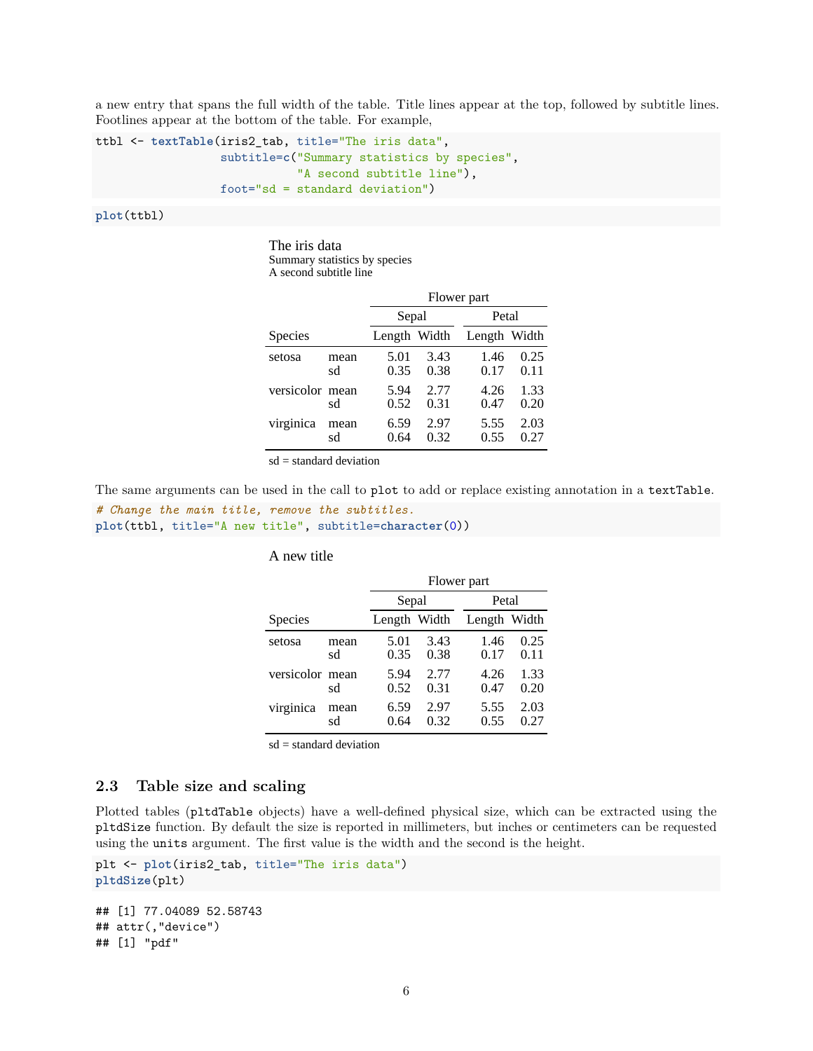a new entry that spans the full width of the table. Title lines appear at the top, followed by subtitle lines. Footlines appear at the bottom of the table. For example,

```
ttbl <- textTable(iris2_tab, title="The iris data",
                  subtitle=c("Summary statistics by species",
                             "A second subtitle line"),
                  foot="sd = standard deviation")
```
**plot**(ttbl)

The iris data Summary statistics by species A second subtitle line

|                 |            | Flower part  |              |              |              |  |
|-----------------|------------|--------------|--------------|--------------|--------------|--|
|                 |            | Sepal        |              | Petal        |              |  |
| Species         |            | Length Width |              | Length Width |              |  |
| setosa          | mean<br>sd | 5.01<br>0.35 | 3.43<br>0.38 | 1.46<br>0.17 | 0.25<br>0.11 |  |
| versicolor mean | sd         | 5.94<br>0.52 | 2.77<br>0.31 | 4.26<br>0.47 | 1.33<br>0.20 |  |
| virginica       | mean<br>sd | 6.59<br>0.64 | 2.97<br>0.32 | 5.55<br>0.55 | 2.03<br>0.27 |  |

 $sd = standard deviation$ 

The same arguments can be used in the call to plot to add or replace existing annotation in a textTable.

```
# Change the main title, remove the subtitles.
plot(ttbl, title="A new title", subtitle=character(0))
```
#### A new title

|                 |            |              | Flower part  |              |              |  |  |  |
|-----------------|------------|--------------|--------------|--------------|--------------|--|--|--|
|                 |            | Sepal        |              | Petal        |              |  |  |  |
| Species         |            | Length Width |              | Length Width |              |  |  |  |
| setosa          | mean<br>sd | 5.01<br>0.35 | 3.43<br>0.38 | 1.46<br>0.17 | 0.25<br>0.11 |  |  |  |
| versicolor mean | sd         | 5.94<br>0.52 | 2.77<br>0.31 | 4.26<br>0.47 | 1.33<br>0.20 |  |  |  |
| virginica       | mean<br>sd | 6.59<br>0.64 | 2.97<br>0.32 | 5.55<br>0.55 | 2.03<br>0.27 |  |  |  |

sd = standard deviation

#### <span id="page-5-0"></span>**2.3 Table size and scaling**

Plotted tables (pltdTable objects) have a well-defined physical size, which can be extracted using the pltdSize function. By default the size is reported in millimeters, but inches or centimeters can be requested using the units argument. The first value is the width and the second is the height.

```
plt <- plot(iris2_tab, title="The iris data")
pltdSize(plt)
```

```
## [1] 77.04089 52.58743
## attr(,"device")
## [1] "pdf"
```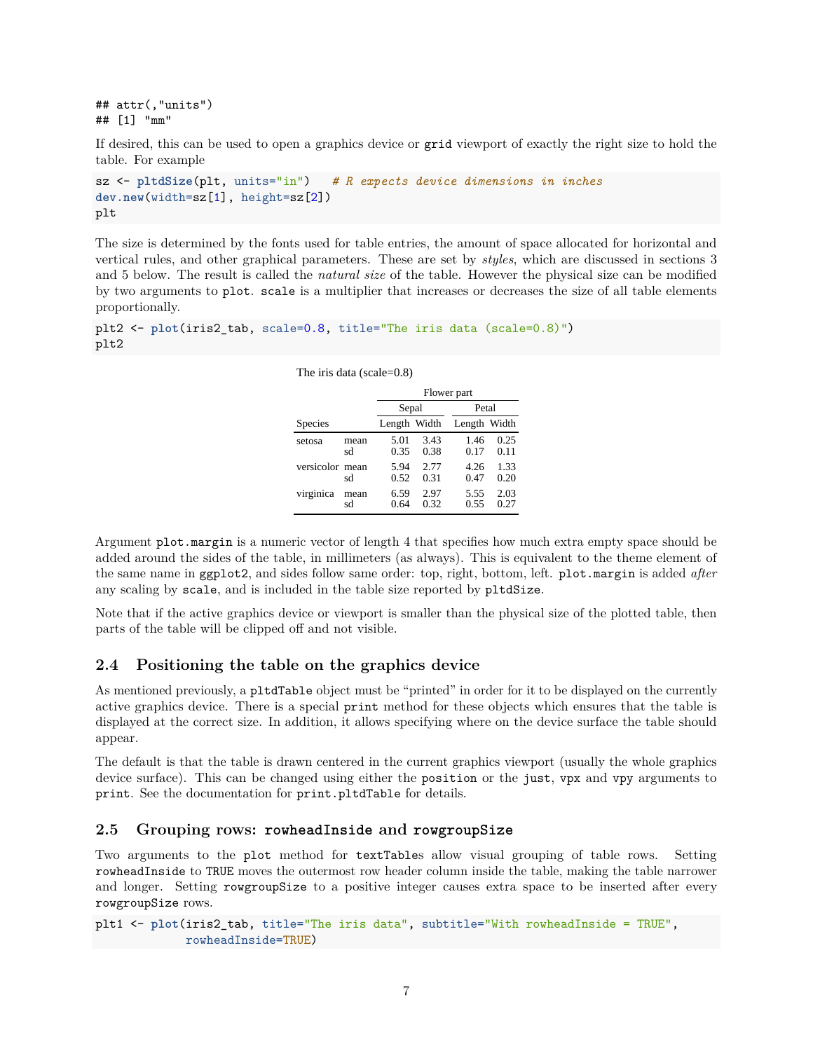## attr(,"units") ## [1] "mm"

If desired, this can be used to open a graphics device or grid viewport of exactly the right size to hold the table. For example

```
sz <- pltdSize(plt, units="in") # R expects device dimensions in inches
dev.new(width=sz[1], height=sz[2])
plt
```
The size is determined by the fonts used for table entries, the amount of space allocated for horizontal and vertical rules, and other graphical parameters. These are set by *styles*, which are discussed in sections 3 and 5 below. The result is called the *natural size* of the table. However the physical size can be modified by two arguments to plot. scale is a multiplier that increases or decreases the size of all table elements proportionally.

```
plt2 <- plot(iris2_tab, scale=0.8, title="The iris data (scale=0.8)")
plt2
```
The iris data (scale=0.8)

|                 |            |              | Flower part  |              |              |  |  |  |
|-----------------|------------|--------------|--------------|--------------|--------------|--|--|--|
|                 |            |              | Sepal        | Petal        |              |  |  |  |
| Species         |            | Length Width |              | Length Width |              |  |  |  |
| setosa          | mean<br>sd | 5.01<br>0.35 | 3.43<br>0.38 | 1.46<br>0.17 | 0.25<br>0.11 |  |  |  |
| versicolor mean | sd         | 5.94<br>0.52 | 2.77<br>0.31 | 4.26<br>0.47 | 1.33<br>0.20 |  |  |  |
| virginica       | mean<br>sd | 6.59<br>0.64 | 2.97<br>0.32 | 5.55<br>0.55 | 2.03<br>0.27 |  |  |  |

Argument plot.margin is a numeric vector of length 4 that specifies how much extra empty space should be

added around the sides of the table, in millimeters (as always). This is equivalent to the theme element of the same name in ggplot2, and sides follow same order: top, right, bottom, left. plot.margin is added *after* any scaling by scale, and is included in the table size reported by pltdSize.

Note that if the active graphics device or viewport is smaller than the physical size of the plotted table, then parts of the table will be clipped off and not visible.

### <span id="page-6-0"></span>**2.4 Positioning the table on the graphics device**

As mentioned previously, a pltdTable object must be "printed" in order for it to be displayed on the currently active graphics device. There is a special print method for these objects which ensures that the table is displayed at the correct size. In addition, it allows specifying where on the device surface the table should appear.

The default is that the table is drawn centered in the current graphics viewport (usually the whole graphics device surface). This can be changed using either the position or the just, vpx and vpy arguments to print. See the documentation for print.pltdTable for details.

#### <span id="page-6-1"></span>**2.5 Grouping rows: rowheadInside and rowgroupSize**

Two arguments to the plot method for textTables allow visual grouping of table rows. Setting rowheadInside to TRUE moves the outermost row header column inside the table, making the table narrower and longer. Setting rowgroupSize to a positive integer causes extra space to be inserted after every rowgroupSize rows.

plt1 <- **plot**(iris2\_tab, title="The iris data", subtitle="With rowheadInside = TRUE", rowheadInside=TRUE)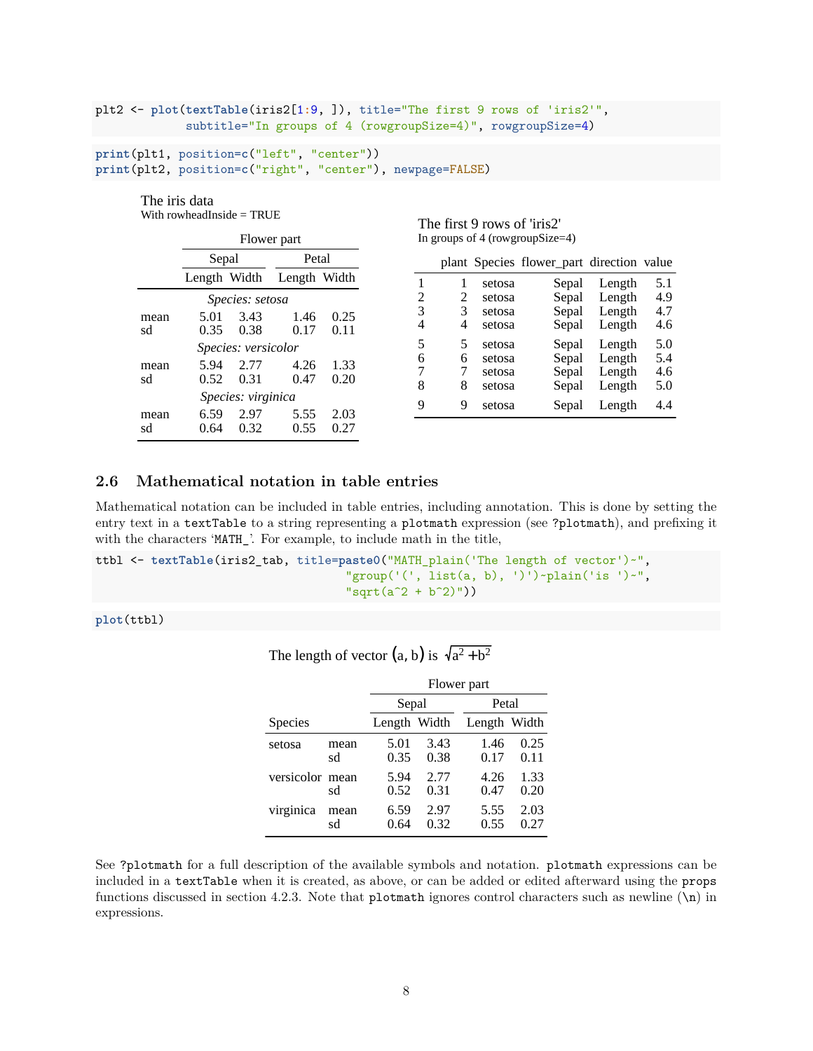```
plt2 <- plot(textTable(iris2[1:9, ]), title="The first 9 rows of 'iris2'",
             subtitle="In groups of 4 (rowgroupSize=4)", rowgroupSize=4)
```

```
print(plt1, position=c("left", "center"))
print(plt2, position=c("right", "center"), newpage=FALSE)
```
#### The iris data With rowheadInside = TRUE

|                    | Flower part  |                        |              |                  |                  | In groups of 4 (rowgroup Size=4) |                                           |                  |            |
|--------------------|--------------|------------------------|--------------|------------------|------------------|----------------------------------|-------------------------------------------|------------------|------------|
|                    | Sepal        | Petal                  |              |                  |                  |                                  | plant Species flower_part direction value |                  |            |
|                    | Length Width |                        | Length Width |                  |                  | setosa                           | Sepal                                     | Length           | 5.1        |
|                    |              | <i>Species: setosa</i> |              |                  | 2                | 2<br>setosa                      | Sepal                                     | Length           | 4.9        |
| mean<br>sd         | 5.01<br>0.35 | 3.43<br>0.38           | 1.46<br>0.17 | 0.25<br>0.11     | 3<br>4<br>4      | 3<br>setosa<br>setosa            | Sepal<br>Sepal                            | Length<br>Length | 4.7<br>4.6 |
|                    |              | Species: versicolor    |              |                  | 5                | 5<br>setosa                      | Sepal                                     | Length           | 5.0        |
| mean<br>sd         | 5.94<br>0.52 | 2.77<br>0.31           | 4.26<br>0.47 | 1.33<br>0.20     | 6<br>6<br>7      | setosa<br>setosa                 | Sepal<br>Sepal                            | Length<br>Length | 5.4<br>4.6 |
| Species: virginica |              |                        |              | 8<br>8<br>9<br>9 | setosa<br>setosa | Sepal<br>Sepal                   | Length<br>Length                          | 5.0<br>4.4       |            |
| mean<br>sd         | 6.59<br>0.64 | 2.97<br>0.32           | 5.55<br>0.55 | 2.03<br>0.27     |                  |                                  |                                           |                  |            |

The first 9 rows of 'iris2'

### <span id="page-7-0"></span>**2.6 Mathematical notation in table entries**

Mathematical notation can be included in table entries, including annotation. This is done by setting the entry text in a textTable to a string representing a plotmath expression (see ?plotmath), and prefixing it with the characters 'MATH\_'. For example, to include math in the title,

```
ttbl <- textTable(iris2_tab, title=paste0("MATH_plain('The length of vector')~",
                                    "group('(', list(a, b), ')')~plain('is ')~",
                                    "sqrt(a^2 + b^2)")
```
**plot**(ttbl)

|                 |            |              | Flower part  |              |              |  |  |  |
|-----------------|------------|--------------|--------------|--------------|--------------|--|--|--|
|                 |            | Sepal        |              | Petal        |              |  |  |  |
| Species         |            | Length Width |              | Length Width |              |  |  |  |
| setosa          | mean<br>sd | 5.01<br>0.35 | 3.43<br>0.38 | 1.46<br>0.17 | 0.25<br>0.11 |  |  |  |
| versicolor mean | sd         | 5.94<br>0.52 | 2.77<br>0.31 | 4.26<br>0.47 | 1.33<br>0.20 |  |  |  |
| virginica       | mean<br>sd | 6.59<br>0.64 | 2.97<br>0.32 | 5.55<br>0.55 | 2.03<br>0.27 |  |  |  |

The length of vector  $(a, b)$  is  $\sqrt{a^2 + b^2}$ 

See ?plotmath for a full description of the available symbols and notation. plotmath expressions can be included in a textTable when it is created, as above, or can be added or edited afterward using the props functions discussed in section 4.2.3. Note that plotmath ignores control characters such as newline  $(\n\eta)$  in expressions.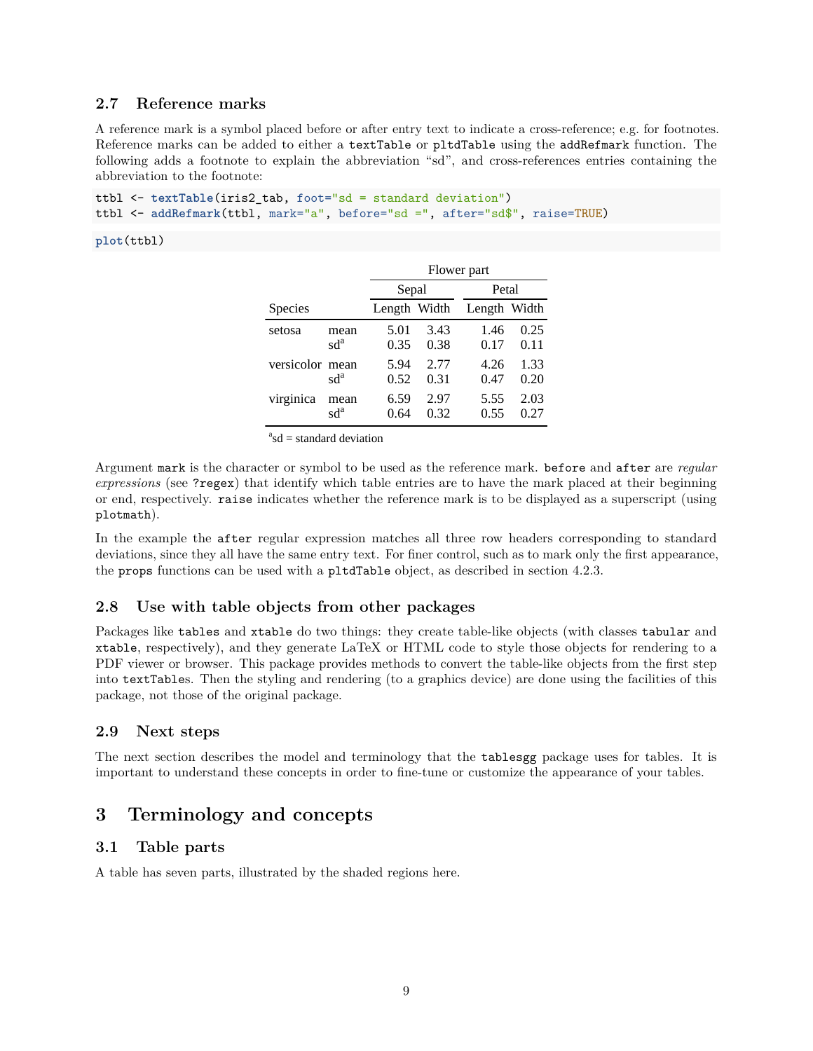#### <span id="page-8-0"></span>**2.7 Reference marks**

A reference mark is a symbol placed before or after entry text to indicate a cross-reference; e.g. for footnotes. Reference marks can be added to either a textTable or pltdTable using the addRefmark function. The following adds a footnote to explain the abbreviation "sd", and cross-references entries containing the abbreviation to the footnote:

```
ttbl <- textTable(iris2_tab, foot="sd = standard deviation")
ttbl <- addRefmark(ttbl, mark="a", before="sd =", after="sd$", raise=TRUE)
```
#### **plot**(ttbl)

|                 |                 |              | Flower part  |              |              |  |  |
|-----------------|-----------------|--------------|--------------|--------------|--------------|--|--|
|                 |                 | Sepal        |              | Petal        |              |  |  |
| Species         |                 | Length Width |              | Length Width |              |  |  |
| setosa          | mean<br>$sd^a$  | 5.01<br>0.35 | 3.43<br>0.38 | 1.46<br>0.17 | 0.25<br>0.11 |  |  |
| versicolor mean | sd <sup>a</sup> | 5.94<br>0.52 | 2.77<br>0.31 | 4.26<br>0.47 | 1.33<br>0.20 |  |  |
| virginica       | mean<br>$sd^a$  | 6.59<br>0.64 | 2.97<br>0.32 | 5.55<br>0.55 | 2.03<br>0.27 |  |  |

 $a<sub>sd</sub>$  = standard deviation

Argument mark is the character or symbol to be used as the reference mark. before and after are *regular expressions* (see ?regex) that identify which table entries are to have the mark placed at their beginning or end, respectively. raise indicates whether the reference mark is to be displayed as a superscript (using plotmath).

In the example the after regular expression matches all three row headers corresponding to standard deviations, since they all have the same entry text. For finer control, such as to mark only the first appearance, the props functions can be used with a pltdTable object, as described in section 4.2.3.

### <span id="page-8-1"></span>**2.8 Use with table objects from other packages**

Packages like tables and xtable do two things: they create table-like objects (with classes tabular and xtable, respectively), and they generate LaTeX or HTML code to style those objects for rendering to a PDF viewer or browser. This package provides methods to convert the table-like objects from the first step into textTables. Then the styling and rendering (to a graphics device) are done using the facilities of this package, not those of the original package.

#### <span id="page-8-2"></span>**2.9 Next steps**

The next section describes the model and terminology that the tablesgg package uses for tables. It is important to understand these concepts in order to fine-tune or customize the appearance of your tables.

## <span id="page-8-3"></span>**3 Terminology and concepts**

#### <span id="page-8-4"></span>**3.1 Table parts**

A table has seven parts, illustrated by the shaded regions here.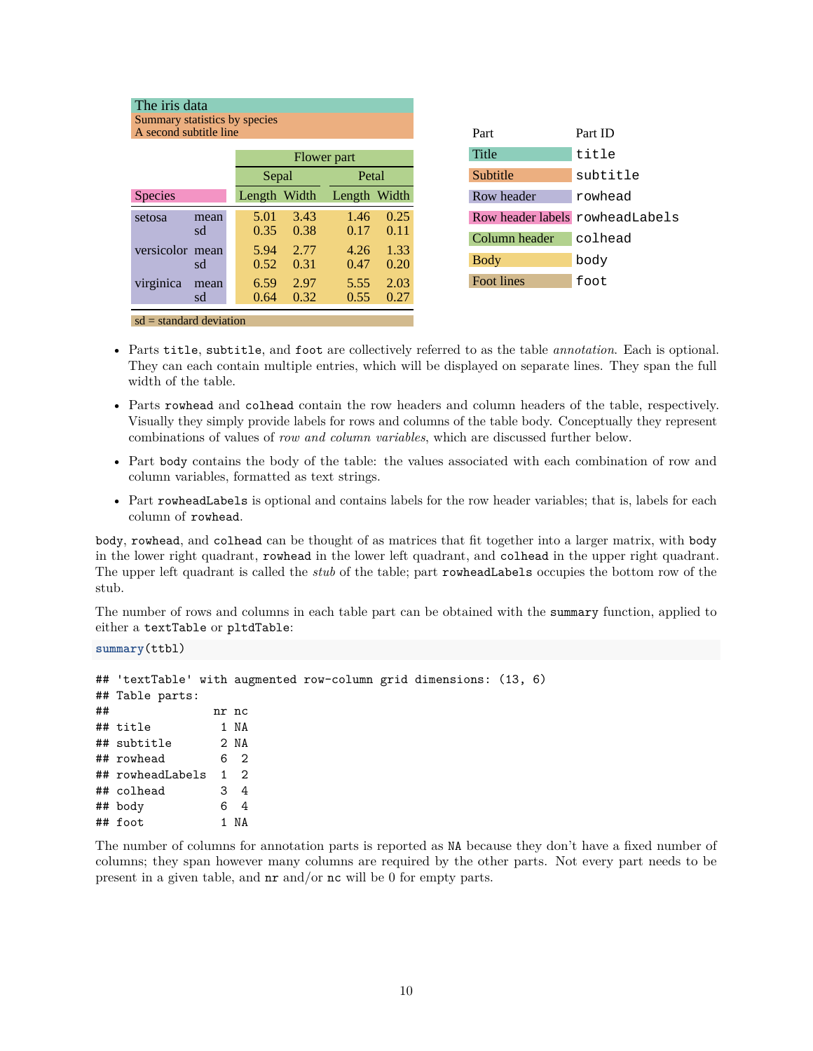| The iris data             |                               |                |             |              |      |  |  |  |  |  |
|---------------------------|-------------------------------|----------------|-------------|--------------|------|--|--|--|--|--|
|                           | Summary statistics by species |                |             |              |      |  |  |  |  |  |
|                           | A second subtitle line        |                |             |              |      |  |  |  |  |  |
|                           |                               |                |             |              |      |  |  |  |  |  |
|                           |                               |                | Flower part |              |      |  |  |  |  |  |
|                           |                               | Petal<br>Sepal |             |              |      |  |  |  |  |  |
| Species                   |                               | Length Width   |             | Length Width |      |  |  |  |  |  |
| setosa                    | mean                          | 5.01           | 3.43        | 1.46         | 0.25 |  |  |  |  |  |
|                           | sd                            | 0.35           | 0.38        | 0.17         | 0.11 |  |  |  |  |  |
| versicolor                | mean                          | 5.94           | 2.77        | 4.26         | 1.33 |  |  |  |  |  |
|                           | sd                            | 0.52           | 0.31        | 0.47         | 0.20 |  |  |  |  |  |
| virginica                 | mean                          | 6.59           | 2.97        | 5.55         | 2.03 |  |  |  |  |  |
|                           | sd                            | 0.64           | 0.32        | 0.55         | 0.27 |  |  |  |  |  |
| $sd = standard deviation$ |                               |                |             |              |      |  |  |  |  |  |

| Part                            | Part ID  |
|---------------------------------|----------|
| Title                           | title    |
| Subtitle                        | subtitle |
| Row header                      | rowhead  |
| Row header labels rowheadLabels |          |
|                                 |          |
| Column header                   | colhead  |
| <b>Body</b>                     | body     |

- Parts title, subtitle, and foot are collectively referred to as the table *annotation*. Each is optional. They can each contain multiple entries, which will be displayed on separate lines. They span the full width of the table.
- Parts rowhead and colhead contain the row headers and column headers of the table, respectively. Visually they simply provide labels for rows and columns of the table body. Conceptually they represent combinations of values of *row and column variables*, which are discussed further below.
- Part body contains the body of the table: the values associated with each combination of row and column variables, formatted as text strings.
- Part rowheadLabels is optional and contains labels for the row header variables; that is, labels for each column of rowhead.

body, rowhead, and colhead can be thought of as matrices that fit together into a larger matrix, with body in the lower right quadrant, rowhead in the lower left quadrant, and colhead in the upper right quadrant. The upper left quadrant is called the *stub* of the table; part rowheadLabels occupies the bottom row of the stub.

The number of rows and columns in each table part can be obtained with the summary function, applied to either a textTable or pltdTable:

**summary**(ttbl)

|    | ## 'textTable' with augmented row-column grid dimensions: (13, 6) |      |       |  |  |  |
|----|-------------------------------------------------------------------|------|-------|--|--|--|
|    | ## Table parts:                                                   |      |       |  |  |  |
| ## |                                                                   |      | nr nc |  |  |  |
|    | ## title                                                          |      | 1 NA  |  |  |  |
|    | ## subtitle                                                       | 2 NA |       |  |  |  |
|    | ## rowhead                                                        | 6 2  |       |  |  |  |
|    | ## rowheadLabels 1 2                                              |      |       |  |  |  |
|    | ## colhead                                                        | 34   |       |  |  |  |
|    | ## body                                                           |      | 6 4   |  |  |  |
|    | ## foot                                                           |      | 1 NA  |  |  |  |

The number of columns for annotation parts is reported as NA because they don't have a fixed number of columns; they span however many columns are required by the other parts. Not every part needs to be present in a given table, and nr and/or nc will be 0 for empty parts.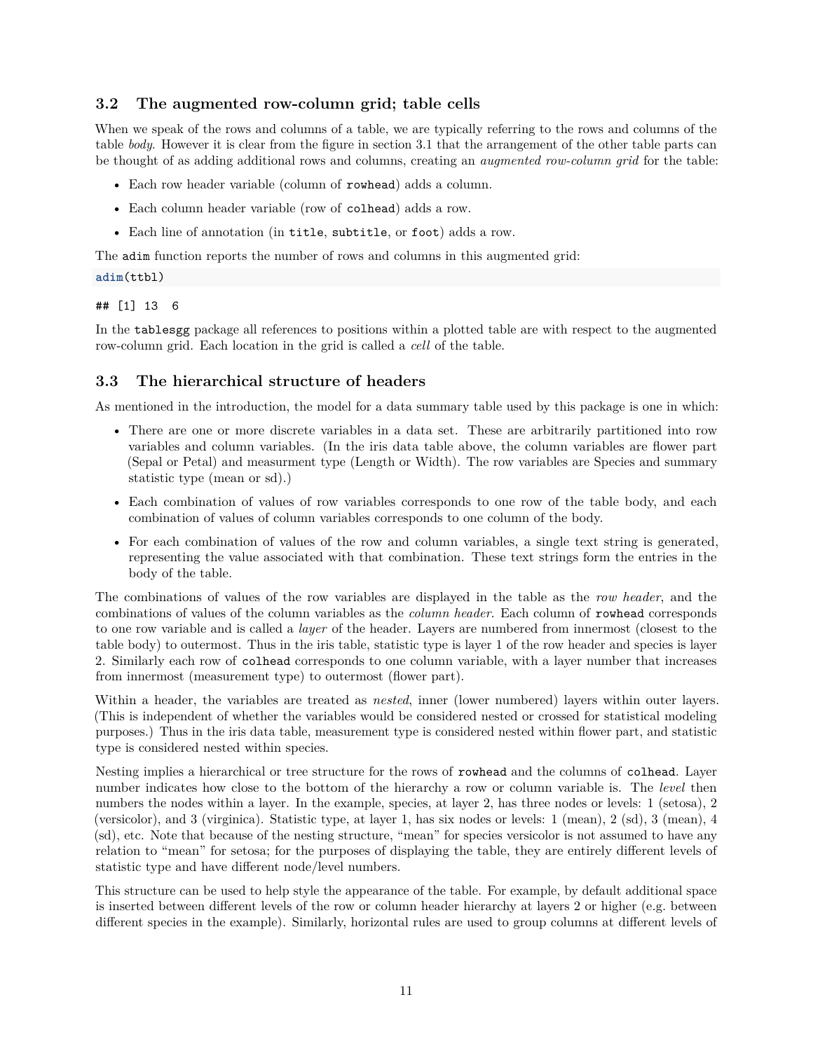### <span id="page-10-0"></span>**3.2 The augmented row-column grid; table cells**

When we speak of the rows and columns of a table, we are typically referring to the rows and columns of the table *body*. However it is clear from the figure in section 3.1 that the arrangement of the other table parts can be thought of as adding additional rows and columns, creating an *augmented row-column grid* for the table:

- Each row header variable (column of rowhead) adds a column.
- Each column header variable (row of colhead) adds a row.
- Each line of annotation (in title, subtitle, or foot) adds a row.

The adim function reports the number of rows and columns in this augmented grid:

#### **adim**(ttbl)

#### ## [1] 13 6

In the tablesgg package all references to positions within a plotted table are with respect to the augmented row-column grid. Each location in the grid is called a *cell* of the table.

### <span id="page-10-1"></span>**3.3 The hierarchical structure of headers**

As mentioned in the introduction, the model for a data summary table used by this package is one in which:

- There are one or more discrete variables in a data set. These are arbitrarily partitioned into row variables and column variables. (In the iris data table above, the column variables are flower part (Sepal or Petal) and measurment type (Length or Width). The row variables are Species and summary statistic type (mean or sd).)
- Each combination of values of row variables corresponds to one row of the table body, and each combination of values of column variables corresponds to one column of the body.
- For each combination of values of the row and column variables, a single text string is generated, representing the value associated with that combination. These text strings form the entries in the body of the table.

The combinations of values of the row variables are displayed in the table as the *row header*, and the combinations of values of the column variables as the *column header*. Each column of rowhead corresponds to one row variable and is called a *layer* of the header. Layers are numbered from innermost (closest to the table body) to outermost. Thus in the iris table, statistic type is layer 1 of the row header and species is layer 2. Similarly each row of colhead corresponds to one column variable, with a layer number that increases from innermost (measurement type) to outermost (flower part).

Within a header, the variables are treated as *nested*, inner (lower numbered) layers within outer layers. (This is independent of whether the variables would be considered nested or crossed for statistical modeling purposes.) Thus in the iris data table, measurement type is considered nested within flower part, and statistic type is considered nested within species.

Nesting implies a hierarchical or tree structure for the rows of rowhead and the columns of colhead. Layer number indicates how close to the bottom of the hierarchy a row or column variable is. The *level* then numbers the nodes within a layer. In the example, species, at layer 2, has three nodes or levels: 1 (setosa), 2 (versicolor), and 3 (virginica). Statistic type, at layer 1, has six nodes or levels: 1 (mean), 2 (sd), 3 (mean), 4 (sd), etc. Note that because of the nesting structure, "mean" for species versicolor is not assumed to have any relation to "mean" for setosa; for the purposes of displaying the table, they are entirely different levels of statistic type and have different node/level numbers.

This structure can be used to help style the appearance of the table. For example, by default additional space is inserted between different levels of the row or column header hierarchy at layers 2 or higher (e.g. between different species in the example). Similarly, horizontal rules are used to group columns at different levels of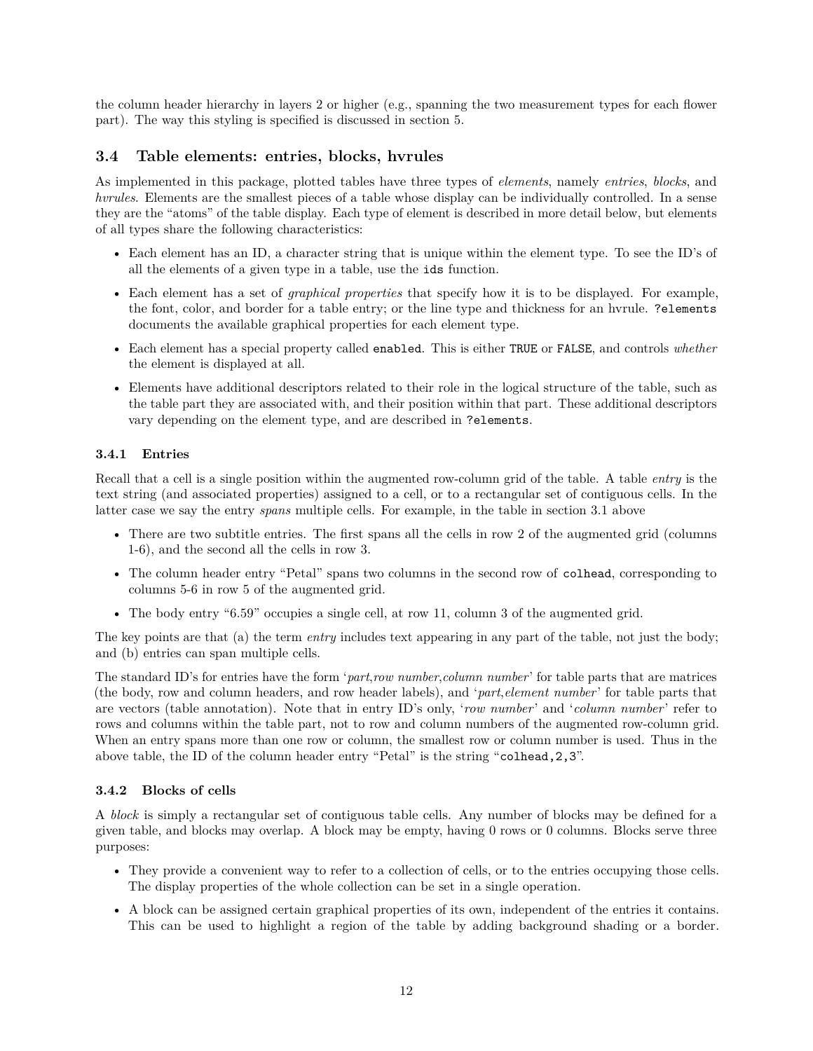the column header hierarchy in layers 2 or higher (e.g., spanning the two measurement types for each flower part). The way this styling is specified is discussed in section 5.

### <span id="page-11-0"></span>**3.4 Table elements: entries, blocks, hvrules**

As implemented in this package, plotted tables have three types of *elements*, namely *entries*, *blocks*, and *hvrules*. Elements are the smallest pieces of a table whose display can be individually controlled. In a sense they are the "atoms" of the table display. Each type of element is described in more detail below, but elements of all types share the following characteristics:

- Each element has an ID, a character string that is unique within the element type. To see the ID's of all the elements of a given type in a table, use the ids function.
- Each element has a set of *graphical properties* that specify how it is to be displayed. For example, the font, color, and border for a table entry; or the line type and thickness for an hvrule. ?elements documents the available graphical properties for each element type.
- Each element has a special property called enabled. This is either TRUE or FALSE, and controls *whether* the element is displayed at all.
- Elements have additional descriptors related to their role in the logical structure of the table, such as the table part they are associated with, and their position within that part. These additional descriptors vary depending on the element type, and are described in ?elements.

#### <span id="page-11-1"></span>**3.4.1 Entries**

Recall that a cell is a single position within the augmented row-column grid of the table. A table *entry* is the text string (and associated properties) assigned to a cell, or to a rectangular set of contiguous cells. In the latter case we say the entry *spans* multiple cells. For example, in the table in section 3.1 above

- There are two subtitle entries. The first spans all the cells in row 2 of the augmented grid (columns 1-6), and the second all the cells in row 3.
- The column header entry "Petal" spans two columns in the second row of colhead, corresponding to columns 5-6 in row 5 of the augmented grid.
- The body entry "6.59" occupies a single cell, at row 11, column 3 of the augmented grid.

The key points are that (a) the term *entry* includes text appearing in any part of the table, not just the body; and (b) entries can span multiple cells.

The standard ID's for entries have the form '*part*,*row number*,*column number*' for table parts that are matrices (the body, row and column headers, and row header labels), and '*part*,*element number*' for table parts that are vectors (table annotation). Note that in entry ID's only, '*row number*' and '*column number*' refer to rows and columns within the table part, not to row and column numbers of the augmented row-column grid. When an entry spans more than one row or column, the smallest row or column number is used. Thus in the above table, the ID of the column header entry "Petal" is the string "colhead,2,3".

#### <span id="page-11-2"></span>**3.4.2 Blocks of cells**

A *block* is simply a rectangular set of contiguous table cells. Any number of blocks may be defined for a given table, and blocks may overlap. A block may be empty, having 0 rows or 0 columns. Blocks serve three purposes:

- They provide a convenient way to refer to a collection of cells, or to the entries occupying those cells. The display properties of the whole collection can be set in a single operation.
- A block can be assigned certain graphical properties of its own, independent of the entries it contains. This can be used to highlight a region of the table by adding background shading or a border.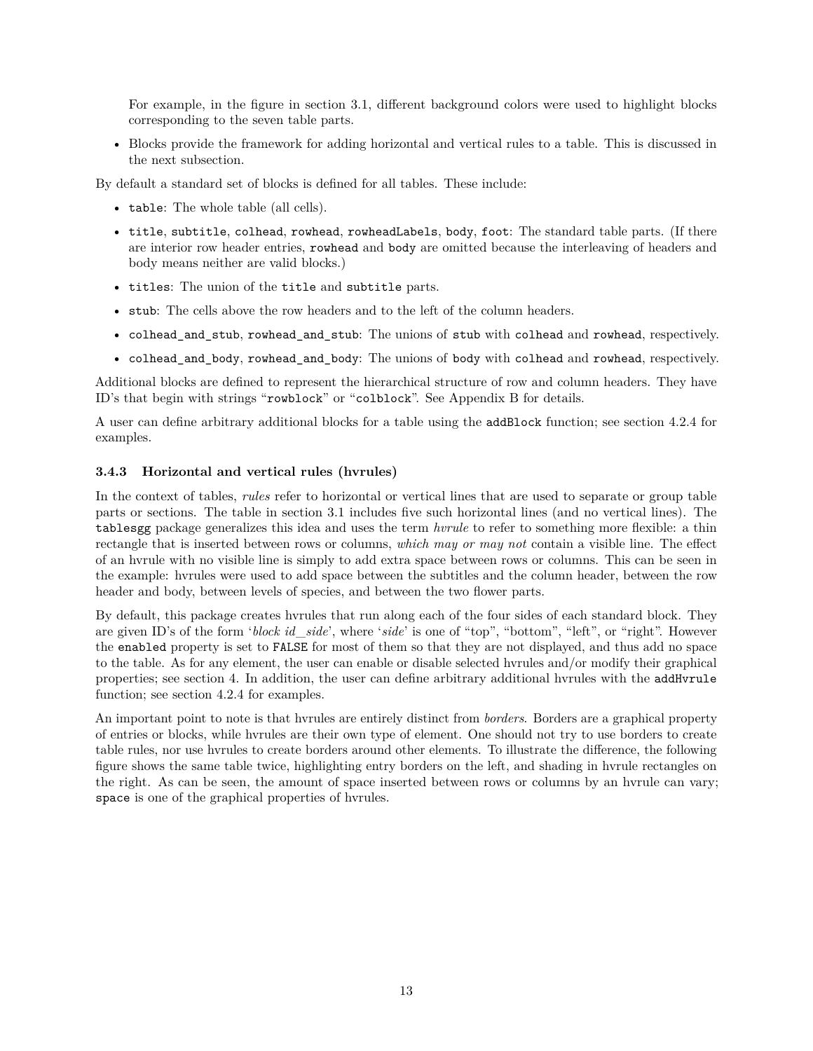For example, in the figure in section 3.1, different background colors were used to highlight blocks corresponding to the seven table parts.

• Blocks provide the framework for adding horizontal and vertical rules to a table. This is discussed in the next subsection.

By default a standard set of blocks is defined for all tables. These include:

- table: The whole table (all cells).
- title, subtitle, colhead, rowhead, rowheadLabels, body, foot: The standard table parts. (If there are interior row header entries, rowhead and body are omitted because the interleaving of headers and body means neither are valid blocks.)
- titles: The union of the title and subtitle parts.
- stub: The cells above the row headers and to the left of the column headers.
- colhead\_and\_stub, rowhead\_and\_stub: The unions of stub with colhead and rowhead, respectively.
- colhead\_and\_body, rowhead\_and\_body: The unions of body with colhead and rowhead, respectively.

Additional blocks are defined to represent the hierarchical structure of row and column headers. They have ID's that begin with strings "rowblock" or "colblock". See Appendix B for details.

A user can define arbitrary additional blocks for a table using the addBlock function; see section 4.2.4 for examples.

#### <span id="page-12-0"></span>**3.4.3 Horizontal and vertical rules (hvrules)**

In the context of tables, *rules* refer to horizontal or vertical lines that are used to separate or group table parts or sections. The table in section 3.1 includes five such horizontal lines (and no vertical lines). The tablesgg package generalizes this idea and uses the term *hvrule* to refer to something more flexible: a thin rectangle that is inserted between rows or columns, *which may or may not* contain a visible line. The effect of an hvrule with no visible line is simply to add extra space between rows or columns. This can be seen in the example: hvrules were used to add space between the subtitles and the column header, between the row header and body, between levels of species, and between the two flower parts.

By default, this package creates hvrules that run along each of the four sides of each standard block. They are given ID's of the form '*block id*\_*side*', where '*side*' is one of "top", "bottom", "left", or "right". However the enabled property is set to FALSE for most of them so that they are not displayed, and thus add no space to the table. As for any element, the user can enable or disable selected hvrules and/or modify their graphical properties; see section 4. In addition, the user can define arbitrary additional hvrules with the addHvrule function; see section 4.2.4 for examples.

An important point to note is that hvrules are entirely distinct from *borders*. Borders are a graphical property of entries or blocks, while hvrules are their own type of element. One should not try to use borders to create table rules, nor use hvrules to create borders around other elements. To illustrate the difference, the following figure shows the same table twice, highlighting entry borders on the left, and shading in hvrule rectangles on the right. As can be seen, the amount of space inserted between rows or columns by an hvrule can vary; space is one of the graphical properties of hvrules.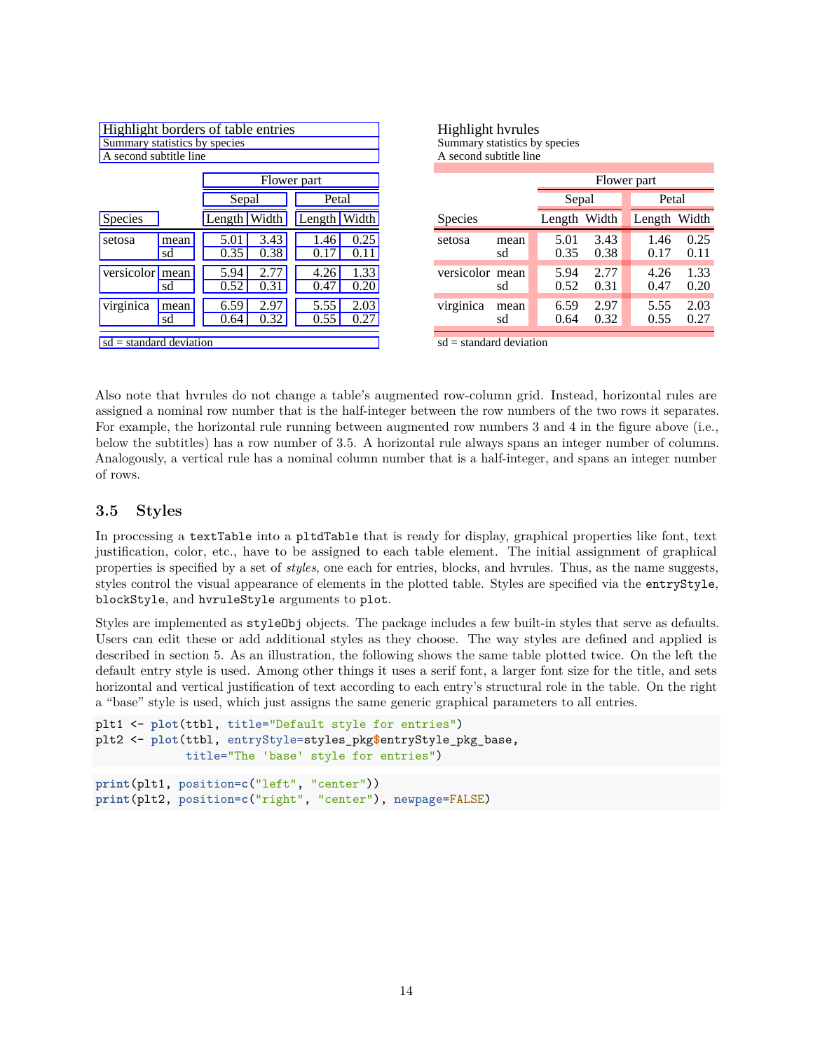| Highlight borders of table entries<br>Summary statistics by species<br>A second subtitle line |            |              |                |              |              |  |  |  |  |
|-----------------------------------------------------------------------------------------------|------------|--------------|----------------|--------------|--------------|--|--|--|--|
| Flower part                                                                                   |            |              |                |              |              |  |  |  |  |
|                                                                                               |            |              | Petal<br>Sepal |              |              |  |  |  |  |
| Species                                                                                       |            | Length Width |                | Length Width |              |  |  |  |  |
| setosa                                                                                        | mean<br>sd | 5.01<br>0.35 | 3.43<br>0.38   | 1.46<br>0.1  | 0.25<br>0.1  |  |  |  |  |
| versicolor mean                                                                               | sd         | 5.94<br>0.52 | 2.77<br>0.31   | 4.26<br>0.47 | 1.33<br>0.20 |  |  |  |  |
| virginica                                                                                     | mean<br>sd | 6.59<br>0.64 | 2.97<br>0.32   | 5.55<br>0.55 | 2.03         |  |  |  |  |
| $sd = standard deviation$                                                                     |            |              |                |              |              |  |  |  |  |

Highlight hvrules Summary statistics by species A second subtitle line

|                 |            | Flower part  |              |  |              |              |  |  |  |  |
|-----------------|------------|--------------|--------------|--|--------------|--------------|--|--|--|--|
|                 |            | Sepal        |              |  | Petal        |              |  |  |  |  |
| Species         |            | Length Width |              |  | Length Width |              |  |  |  |  |
| setosa          | mean<br>sd | 5.01<br>0.35 | 3.43<br>0.38 |  | 1.46<br>0.17 | 0.25<br>0.11 |  |  |  |  |
| versicolor mean | sd         | 5.94<br>0.52 | 2.77<br>0.31 |  | 4.26<br>0.47 | 1.33<br>0.20 |  |  |  |  |
| virginica       | mean<br>sd | 6.59<br>0.64 | 2.97<br>0.32 |  | 5.55<br>0.55 | 2.03<br>0.27 |  |  |  |  |

 $sd = standard deviation$ 

Also note that hvrules do not change a table's augmented row-column grid. Instead, horizontal rules are assigned a nominal row number that is the half-integer between the row numbers of the two rows it separates. For example, the horizontal rule running between augmented row numbers 3 and 4 in the figure above (i.e., below the subtitles) has a row number of 3.5. A horizontal rule always spans an integer number of columns. Analogously, a vertical rule has a nominal column number that is a half-integer, and spans an integer number of rows.

### <span id="page-13-0"></span>**3.5 Styles**

In processing a textTable into a pltdTable that is ready for display, graphical properties like font, text justification, color, etc., have to be assigned to each table element. The initial assignment of graphical properties is specified by a set of *styles*, one each for entries, blocks, and hvrules. Thus, as the name suggests, styles control the visual appearance of elements in the plotted table. Styles are specified via the entryStyle, blockStyle, and hvruleStyle arguments to plot.

Styles are implemented as styleObj objects. The package includes a few built-in styles that serve as defaults. Users can edit these or add additional styles as they choose. The way styles are defined and applied is described in section 5. As an illustration, the following shows the same table plotted twice. On the left the default entry style is used. Among other things it uses a serif font, a larger font size for the title, and sets horizontal and vertical justification of text according to each entry's structural role in the table. On the right a "base" style is used, which just assigns the same generic graphical parameters to all entries.

```
plt1 <- plot(ttbl, title="Default style for entries")
plt2 <- plot(ttbl, entryStyle=styles_pkg$entryStyle_pkg_base,
             title="The 'base' style for entries")
print(plt1, position=c("left", "center"))
print(plt2, position=c("right", "center"), newpage=FALSE)
```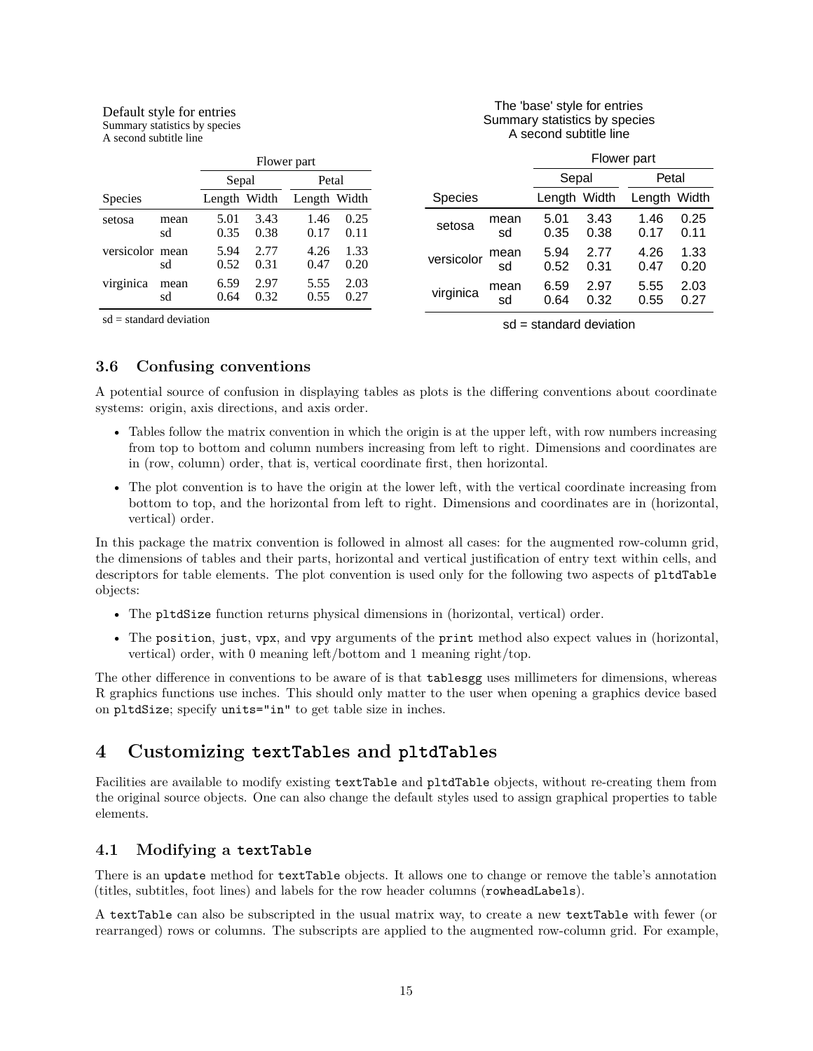#### Default style for entries Summary statistics by species

A second subtitle line

#### The 'base' style for entries Summary statistics by species A second subtitle line

|                 | Flower part |              |              |              |              | Flower part    |            |              |              |              |              |
|-----------------|-------------|--------------|--------------|--------------|--------------|----------------|------------|--------------|--------------|--------------|--------------|
|                 |             | Sepal        |              | Petal        |              |                |            | Sepal        |              | Petal        |              |
| <b>Species</b>  |             | Length Width |              | Length Width |              | <b>Species</b> |            | Length Width |              | Length Width |              |
| setosa          | mean<br>sd  | 5.01<br>0.35 | 3.43<br>0.38 | 1.46<br>0.17 | 0.25<br>0.11 | setosa         | mean<br>sd | 5.01<br>0.35 | 3.43<br>0.38 | 1.46<br>0.17 | 0.25<br>0.11 |
| versicolor mean | sd          | 5.94<br>0.52 | 2.77<br>0.31 | 4.26<br>0.47 | 1.33<br>0.20 | versicolor     | mean<br>sd | 5.94<br>0.52 | 2.77<br>0.31 | 4.26<br>0.47 | 1.33<br>0.20 |
| virginica       | mean<br>sd  | 6.59<br>0.64 | 2.97<br>0.32 | 5.55<br>0.55 | 2.03<br>0.27 | virginica      | mean<br>sd | 6.59<br>0.64 | 2.97<br>0.32 | 5.55<br>0.55 | 2.03<br>0.27 |

 $sd = standard deviation$ 

sd = standard deviation

### <span id="page-14-0"></span>**3.6 Confusing conventions**

A potential source of confusion in displaying tables as plots is the differing conventions about coordinate systems: origin, axis directions, and axis order.

- Tables follow the matrix convention in which the origin is at the upper left, with row numbers increasing from top to bottom and column numbers increasing from left to right. Dimensions and coordinates are in (row, column) order, that is, vertical coordinate first, then horizontal.
- The plot convention is to have the origin at the lower left, with the vertical coordinate increasing from bottom to top, and the horizontal from left to right. Dimensions and coordinates are in (horizontal, vertical) order.

In this package the matrix convention is followed in almost all cases: for the augmented row-column grid, the dimensions of tables and their parts, horizontal and vertical justification of entry text within cells, and descriptors for table elements. The plot convention is used only for the following two aspects of pltdTable objects:

- The pltdSize function returns physical dimensions in (horizontal, vertical) order.
- The position, just, vpx, and vpy arguments of the print method also expect values in (horizontal, vertical) order, with 0 meaning left/bottom and 1 meaning right/top.

The other difference in conventions to be aware of is that tablesgg uses millimeters for dimensions, whereas R graphics functions use inches. This should only matter to the user when opening a graphics device based on pltdSize; specify units="in" to get table size in inches.

## <span id="page-14-1"></span>**4 Customizing textTables and pltdTables**

Facilities are available to modify existing textTable and pltdTable objects, without re-creating them from the original source objects. One can also change the default styles used to assign graphical properties to table elements.

## <span id="page-14-2"></span>**4.1 Modifying a textTable**

There is an update method for textTable objects. It allows one to change or remove the table's annotation (titles, subtitles, foot lines) and labels for the row header columns (rowheadLabels).

A textTable can also be subscripted in the usual matrix way, to create a new textTable with fewer (or rearranged) rows or columns. The subscripts are applied to the augmented row-column grid. For example,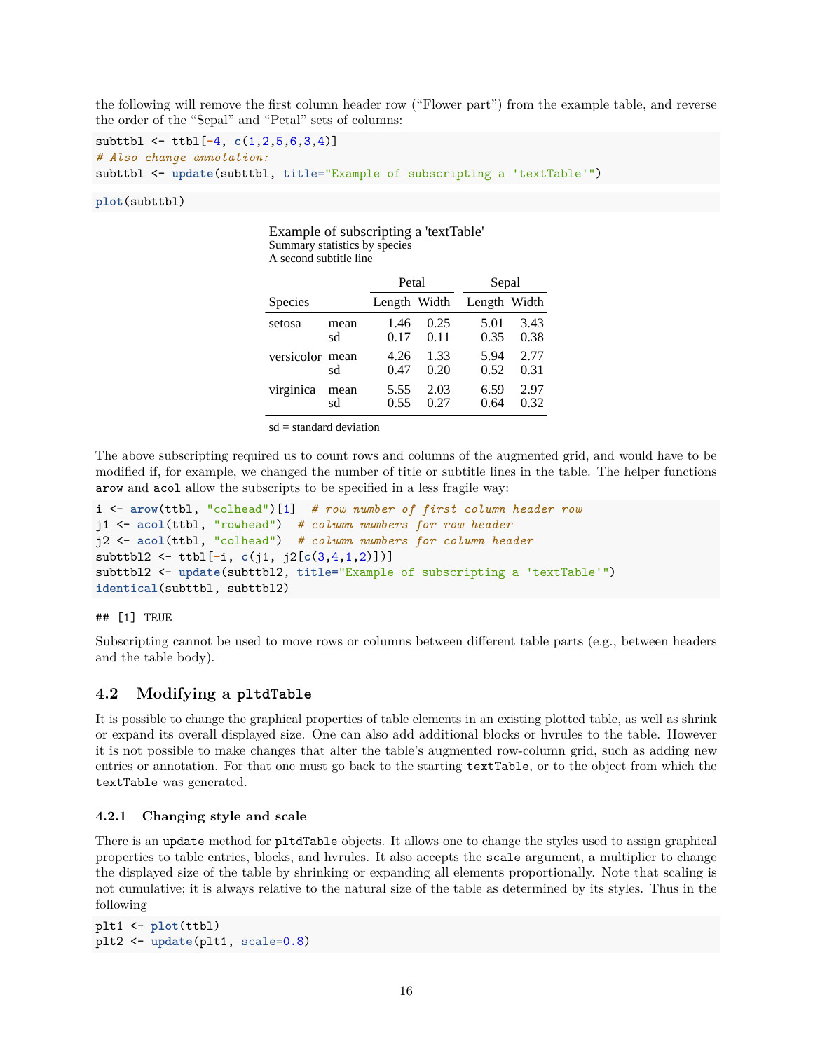the following will remove the first column header row ("Flower part") from the example table, and reverse the order of the "Sepal" and "Petal" sets of columns:

```
subttbl <- ttbl[-4, c(1,2,5,6,3,4)]
# Also change annotation:
subttbl <- update(subttbl, title="Example of subscripting a 'textTable'")
```
Example of subscripting a 'textTable'

**plot**(subttbl)

| Summary statistics by species<br>A second subtitle line |            |              |              |              |              |  |  |  |  |
|---------------------------------------------------------|------------|--------------|--------------|--------------|--------------|--|--|--|--|
|                                                         |            | Petal        |              |              | Sepal        |  |  |  |  |
| Species                                                 |            | Length Width |              | Length Width |              |  |  |  |  |
| setosa                                                  | mean<br>sd | 1.46<br>0.17 | 0.25<br>0.11 | 5.01<br>0.35 | 3.43<br>0.38 |  |  |  |  |
| versicolor mean                                         | sd         | 4.26<br>0.47 | 1.33<br>0.20 | 5.94<br>0.52 | 2.77<br>0.31 |  |  |  |  |
| virginica                                               | mean<br>sd | 5.55<br>0.55 | 2.03<br>0.27 | 6.59<br>0.64 | 2.97<br>0.32 |  |  |  |  |

 $sd = standard deviation$ 

The above subscripting required us to count rows and columns of the augmented grid, and would have to be modified if, for example, we changed the number of title or subtitle lines in the table. The helper functions arow and acol allow the subscripts to be specified in a less fragile way:

```
i <- arow(ttbl, "colhead")[1] # row number of first column header row
j1 <- acol(ttbl, "rowhead") # column numbers for row header
j2 <- acol(ttbl, "colhead") # column numbers for column header
subttbl2 <- ttbl[-i, c(j1, j2[c(3,4,1,2)])]
subttbl2 <- update(subttbl2, title="Example of subscripting a 'textTable'")
identical(subttbl, subttbl2)
```
## [1] TRUE

Subscripting cannot be used to move rows or columns between different table parts (e.g., between headers and the table body).

#### <span id="page-15-0"></span>**4.2 Modifying a pltdTable**

It is possible to change the graphical properties of table elements in an existing plotted table, as well as shrink or expand its overall displayed size. One can also add additional blocks or hvrules to the table. However it is not possible to make changes that alter the table's augmented row-column grid, such as adding new entries or annotation. For that one must go back to the starting textTable, or to the object from which the textTable was generated.

#### <span id="page-15-1"></span>**4.2.1 Changing style and scale**

There is an update method for pltdTable objects. It allows one to change the styles used to assign graphical properties to table entries, blocks, and hvrules. It also accepts the scale argument, a multiplier to change the displayed size of the table by shrinking or expanding all elements proportionally. Note that scaling is not cumulative; it is always relative to the natural size of the table as determined by its styles. Thus in the following

```
plt1 <- plot(ttbl)
plt2 <- update(plt1, scale=0.8)
```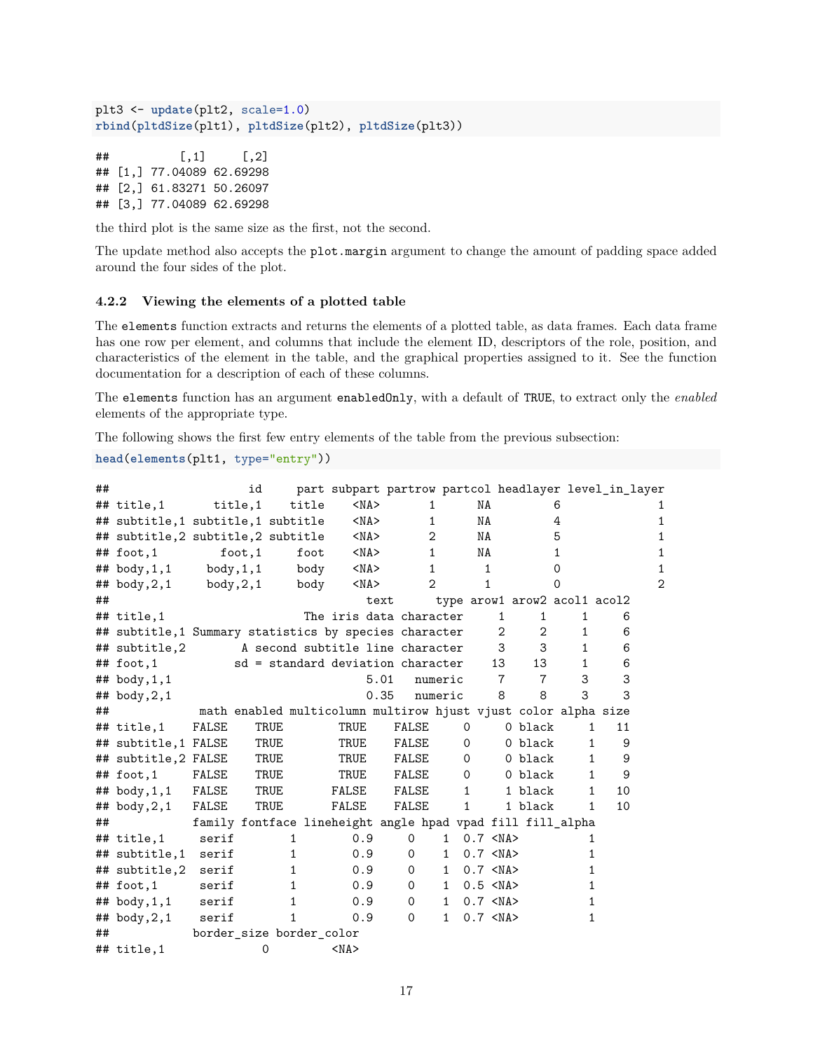```
plt3 <- update(plt2, scale=1.0)
rbind(pltdSize(plt1), pltdSize(plt2), pltdSize(plt3))
```

```
\# [, 1 [, 2 ]## [1,] 77.04089 62.69298
## [2,] 61.83271 50.26097
## [3,] 77.04089 62.69298
```
the third plot is the same size as the first, not the second.

The update method also accepts the plot.margin argument to change the amount of padding space added around the four sides of the plot.

#### <span id="page-16-0"></span>**4.2.2 Viewing the elements of a plotted table**

The elements function extracts and returns the elements of a plotted table, as data frames. Each data frame has one row per element, and columns that include the element ID, descriptors of the role, position, and characteristics of the element in the table, and the graphical properties assigned to it. See the function documentation for a description of each of these columns.

The elements function has an argument enabledOnly, with a default of TRUE, to extract only the *enabled* elements of the appropriate type.

The following shows the first few entry elements of the table from the previous subsection:

```
head(elements(plt1, type="entry"))
```

| ## |                                                       |                                                            | id      |      |       |                                   |            |             |                |              |              |                 |                | part subpart partrow partcol headlayer level_in_layer          |    |   |
|----|-------------------------------------------------------|------------------------------------------------------------|---------|------|-------|-----------------------------------|------------|-------------|----------------|--------------|--------------|-----------------|----------------|----------------------------------------------------------------|----|---|
|    | ## title,1                                            | title,1                                                    |         |      | title |                                   | $<$ NA $>$ |             | $\mathbf{1}$   |              | NA           |                 |                | 6                                                              |    |   |
|    | ## subtitle,1 subtitle,1 subtitle                     |                                                            |         |      |       |                                   | $<$ NA $>$ |             | 1              |              | NA           |                 |                | 4                                                              |    | 1 |
|    | ## subtitle,2 subtitle,2 subtitle                     |                                                            |         |      |       |                                   | $<$ NA $>$ |             | $\mathbf{2}$   |              | NA           |                 |                | 5                                                              |    |   |
|    | $##$ foot, 1                                          |                                                            | foot, 1 |      | foot  |                                   | $<$ NA $>$ |             | $\mathbf{1}$   |              | NA           |                 |                | 1                                                              |    | 1 |
|    | $\texttt{***}$ body, 1, 1                             | body,1,1                                                   |         |      | body  |                                   | $<$ NA $>$ |             | $\mathbf{1}$   |              | $\mathbf{1}$ |                 |                | $\Omega$                                                       |    | 1 |
|    | $\#$ # body, $2,1$                                    | body, 2, 1                                                 |         |      | body  |                                   | $<$ NA $>$ |             | $\overline{2}$ |              | 1            |                 |                | ი                                                              |    | 2 |
| ## |                                                       |                                                            |         |      |       |                                   | text       |             |                |              |              |                 |                | type arow1 arow2 acol1 acol2                                   |    |   |
|    | ## title,1                                            |                                                            |         |      |       | The iris data character           |            |             |                |              |              | $\mathbf{1}$    | 1              | $\mathbf{1}$                                                   | 6  |   |
|    | ## subtitle,1 Summary statistics by species character |                                                            |         |      |       |                                   |            |             |                |              |              | 2               | $\mathbf{2}$   | 1                                                              | 6  |   |
|    | ## subtitle,2                                         |                                                            |         |      |       | A second subtitle line character  |            |             |                |              |              | 3               | 3              | $\mathbf{1}$                                                   | 6  |   |
|    | $##$ foot, 1                                          |                                                            |         |      |       | sd = standard deviation character |            |             |                |              |              | 13              | 13             | $\mathbf{1}$                                                   | 6  |   |
|    | $\#$ # body, 1, 1                                     |                                                            |         |      |       |                                   | 5.01       |             |                | numeric      |              | $\overline{7}$  | $\overline{7}$ | 3                                                              | 3  |   |
|    | $\#$ # body, 2, 1                                     |                                                            |         |      |       |                                   | 0.35       |             |                | numeric      |              | 8               | 8              | 3                                                              | 3  |   |
| ## |                                                       |                                                            |         |      |       |                                   |            |             |                |              |              |                 |                | math enabled multicolumn multirow hjust vjust color alpha size |    |   |
|    | $##$ title, 1                                         | FALSE                                                      |         | TRUE |       | TRUE                              |            | FALSE       |                |              | 0            |                 | 0 black        | $\mathbf{1}$                                                   | 11 |   |
|    | ## subtitle,1 FALSE                                   |                                                            |         | TRUE |       | TRUE                              |            | FALSE       |                |              | 0            |                 | 0 black        | $\mathbf{1}$                                                   | 9  |   |
|    | ## subtitle,2 FALSE                                   |                                                            |         | TRUE |       | TRUE                              |            | FALSE       |                |              | 0            |                 | 0 black        | 1                                                              | 9  |   |
|    | $##$ foot, 1                                          | FALSE                                                      |         | TRUE |       | TRUE                              |            | FALSE       |                |              | $\circ$      |                 | 0 black        | $\mathbf{1}$                                                   | 9  |   |
|    | ## body, 1, 1 FALSE                                   |                                                            |         | TRUE |       | FALSE                             |            | FALSE       |                |              | $\mathbf{1}$ |                 | 1 black        | $\mathbf{1}$                                                   | 10 |   |
|    | ## $body, 2, 1$                                       | FALSE                                                      |         | TRUE |       | FALSE                             |            | FALSE       |                |              | $\mathbf{1}$ |                 | 1 black        | $\mathbf{1}$                                                   | 10 |   |
| ## |                                                       | family fontface lineheight angle hpad vpad fill fill_alpha |         |      |       |                                   |            |             |                |              |              |                 |                |                                                                |    |   |
|    | $##$ title, 1                                         | serif                                                      |         | 1    |       | 0.9                               |            | 0           |                | $\mathbf{1}$ |              | $0.7$ <na></na> |                | 1                                                              |    |   |
|    | ## subtitle,1                                         | serif                                                      |         | 1    |       | 0.9                               |            | $\mathbf 0$ |                | 1            |              | 0.7 < NA>       |                | 1                                                              |    |   |
|    | ## subtitle,2                                         | serif                                                      |         | 1    |       | 0.9                               |            | $\Omega$    |                | $\mathbf{1}$ |              | 0.7 < NAA       |                | 1                                                              |    |   |
|    | ## $foot, 1$                                          | serif                                                      |         | 1    |       | 0.9                               |            | $\Omega$    |                | $\mathbf{1}$ |              | $0.5$ <na></na> |                | 1                                                              |    |   |
|    | ## body, 1, 1                                         | serif                                                      |         | 1    |       | 0.9                               |            | 0           |                | $\mathbf{1}$ |              | 0.7 < NAA       |                | 1                                                              |    |   |
|    | $\#$ # body, 2, 1                                     | script                                                     |         | 1    |       | 0.9                               |            | $\Omega$    |                | $\mathbf{1}$ |              | 0.7 < NA>       |                | 1                                                              |    |   |
| ## |                                                       | border_size border_color                                   |         |      |       |                                   |            |             |                |              |              |                 |                |                                                                |    |   |
|    | $\#$ # title, 1                                       |                                                            | 0       |      |       | $<$ NA $>$                        |            |             |                |              |              |                 |                |                                                                |    |   |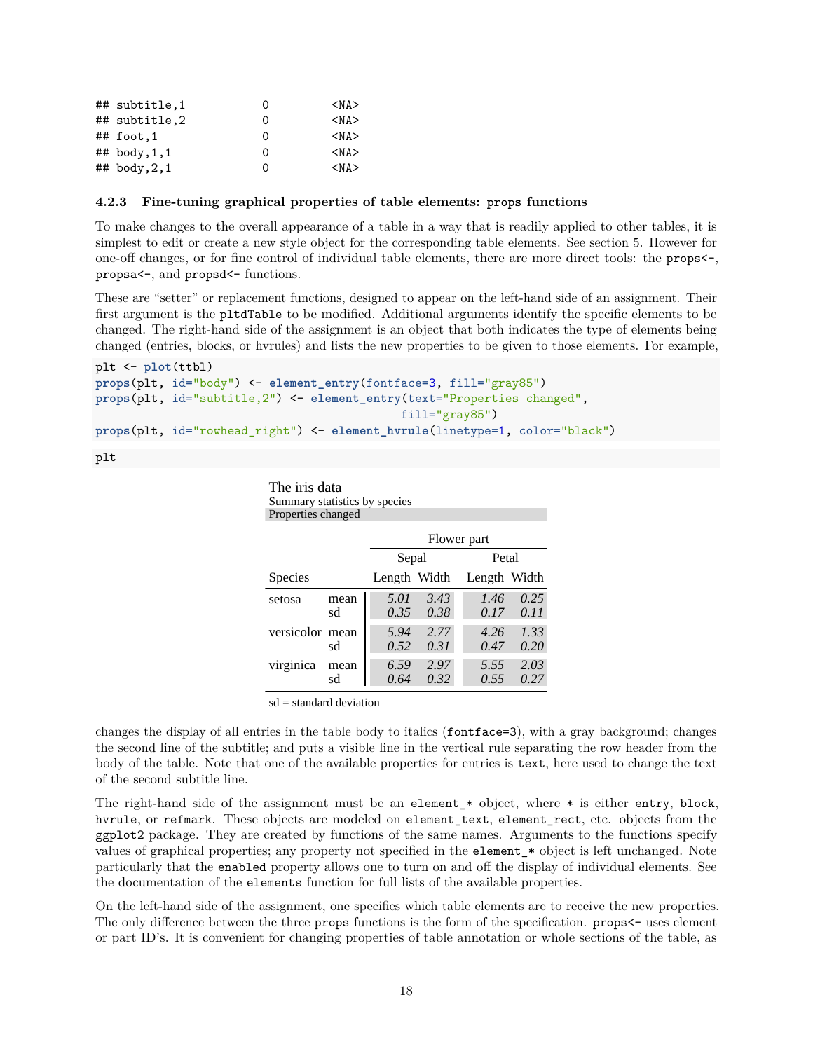| ## subtitle,1     | O | <na></na>  |
|-------------------|---|------------|
| ## subtitle,2     | Ω | $<$ NA $>$ |
| $\#$ # foot, 1    | 0 | $<$ NA $>$ |
| $\#$ # body, 1, 1 | Ω | <na></na>  |
| $\#$ # body, 2, 1 | Ω | $<$ NA $>$ |

#### <span id="page-17-0"></span>**4.2.3 Fine-tuning graphical properties of table elements: props functions**

To make changes to the overall appearance of a table in a way that is readily applied to other tables, it is simplest to edit or create a new style object for the corresponding table elements. See section 5. However for one-off changes, or for fine control of individual table elements, there are more direct tools: the props<-, propsa<-, and propsd<- functions.

These are "setter" or replacement functions, designed to appear on the left-hand side of an assignment. Their first argument is the pltdTable to be modified. Additional arguments identify the specific elements to be changed. The right-hand side of the assignment is an object that both indicates the type of elements being changed (entries, blocks, or hvrules) and lists the new properties to be given to those elements. For example,

```
plt <- plot(ttbl)
props(plt, id="body") <- element_entry(fontface=3, fill="gray85")
props(plt, id="subtitle,2") <- element_entry(text="Properties changed",
                                            fill="gray85")
props(plt, id="rowhead_right") <- element_hvrule(linetype=1, color="black")
```
plt

The iris data Summary statistics by species Properties changed

|                 |            | Flower part  |              |              |              |  |  |  |  |
|-----------------|------------|--------------|--------------|--------------|--------------|--|--|--|--|
|                 |            | Sepal        |              | Petal        |              |  |  |  |  |
| Species         |            | Length Width |              | Length Width |              |  |  |  |  |
| setosa          | mean<br>sd | 5.01<br>0.35 | 3.43<br>0.38 | 1.46<br>0.17 | 0.25<br>0.11 |  |  |  |  |
| versicolor mean | sd         | 5.94<br>0.52 | 2.77<br>0.31 | 4.26<br>0.47 | 1.33<br>0.20 |  |  |  |  |
| virginica       | mean<br>sd | 6.59<br>0.64 | 2.97<br>0.32 | 5.55<br>0.55 | 2.03<br>0.27 |  |  |  |  |

sd = standard deviation

changes the display of all entries in the table body to italics (fontface=3), with a gray background; changes the second line of the subtitle; and puts a visible line in the vertical rule separating the row header from the body of the table. Note that one of the available properties for entries is text, here used to change the text of the second subtitle line.

The right-hand side of the assignment must be an element  $*$  object, where  $*$  is either entry, block, hvrule, or refmark. These objects are modeled on element text, element rect, etc. objects from the ggplot2 package. They are created by functions of the same names. Arguments to the functions specify values of graphical properties; any property not specified in the element\_\* object is left unchanged. Note particularly that the enabled property allows one to turn on and off the display of individual elements. See the documentation of the elements function for full lists of the available properties.

On the left-hand side of the assignment, one specifies which table elements are to receive the new properties. The only difference between the three props functions is the form of the specification. props<- uses element or part ID's. It is convenient for changing properties of table annotation or whole sections of the table, as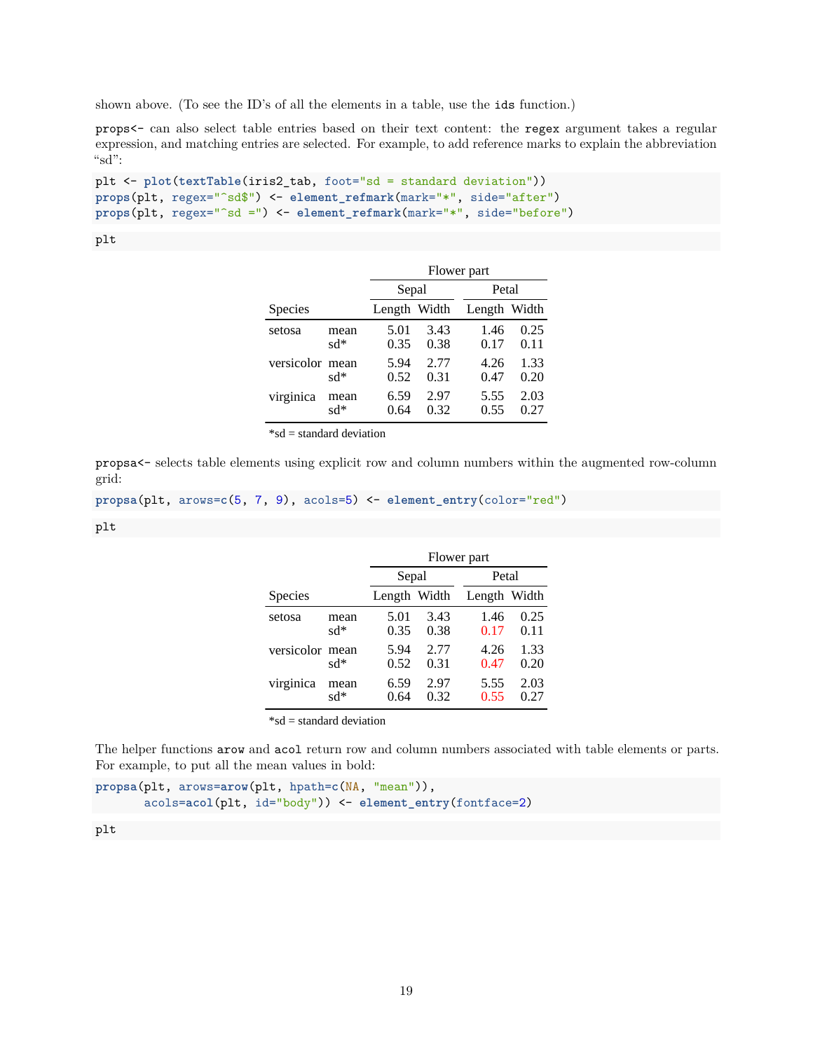shown above. (To see the ID's of all the elements in a table, use the ids function.)

props<- can also select table entries based on their text content: the regex argument takes a regular expression, and matching entries are selected. For example, to add reference marks to explain the abbreviation "sd":

```
plt <- plot(textTable(iris2_tab, foot="sd = standard deviation"))
props(plt, regex="^sd$") <- element_refmark(mark="*", side="after")
props(plt, regex="^sd =") <- element_refmark(mark="*", side="before")
```
#### plt

|                 |             | Flower part  |              |              |              |  |  |  |  |
|-----------------|-------------|--------------|--------------|--------------|--------------|--|--|--|--|
|                 |             | Sepal        |              | Petal        |              |  |  |  |  |
| Species         |             | Length Width |              | Length Width |              |  |  |  |  |
| setosa          | mean<br>sd* | 5.01<br>0.35 | 3.43<br>0.38 | 1.46<br>0.17 | 0.25<br>0.11 |  |  |  |  |
| versicolor mean | sd*         | 5.94<br>0.52 | 2.77<br>0.31 | 4.26<br>0.47 | 1.33<br>0.20 |  |  |  |  |
| virginica       | mean<br>sd* | 6.59<br>0.64 | 2.97<br>0.32 | 5.55<br>0.55 | 2.03<br>0.27 |  |  |  |  |

 $*$ sd = standard deviation

propsa<- selects table elements using explicit row and column numbers within the augmented row-column grid:

```
propsa(plt, arows=c(5, 7, 9), acols=5) <- element_entry(color="red")
```
plt

|                 |             | Flower part  |              |              |              |  |  |  |  |
|-----------------|-------------|--------------|--------------|--------------|--------------|--|--|--|--|
|                 |             | Sepal        |              | Petal        |              |  |  |  |  |
| Species         |             | Length Width |              | Length Width |              |  |  |  |  |
| setosa          | mean<br>sd* | 5.01<br>0.35 | 3.43<br>0.38 | 1.46<br>0.17 | 0.25<br>0.11 |  |  |  |  |
| versicolor mean | sd*         | 5.94<br>0.52 | 2.77<br>0.31 | 4.26<br>0.47 | 1.33<br>0.20 |  |  |  |  |
| virginica       | mean<br>sd* | 6.59<br>0.64 | 2.97<br>0.32 | 5.55<br>0.55 | 2.03<br>0.27 |  |  |  |  |

\*sd = standard deviation

The helper functions arow and acol return row and column numbers associated with table elements or parts. For example, to put all the mean values in bold:

**propsa**(plt, arows=**arow**(plt, hpath=**c**(NA, "mean")), acols=**acol**(plt, id="body")) <- **element\_entry**(fontface=2)

#### plt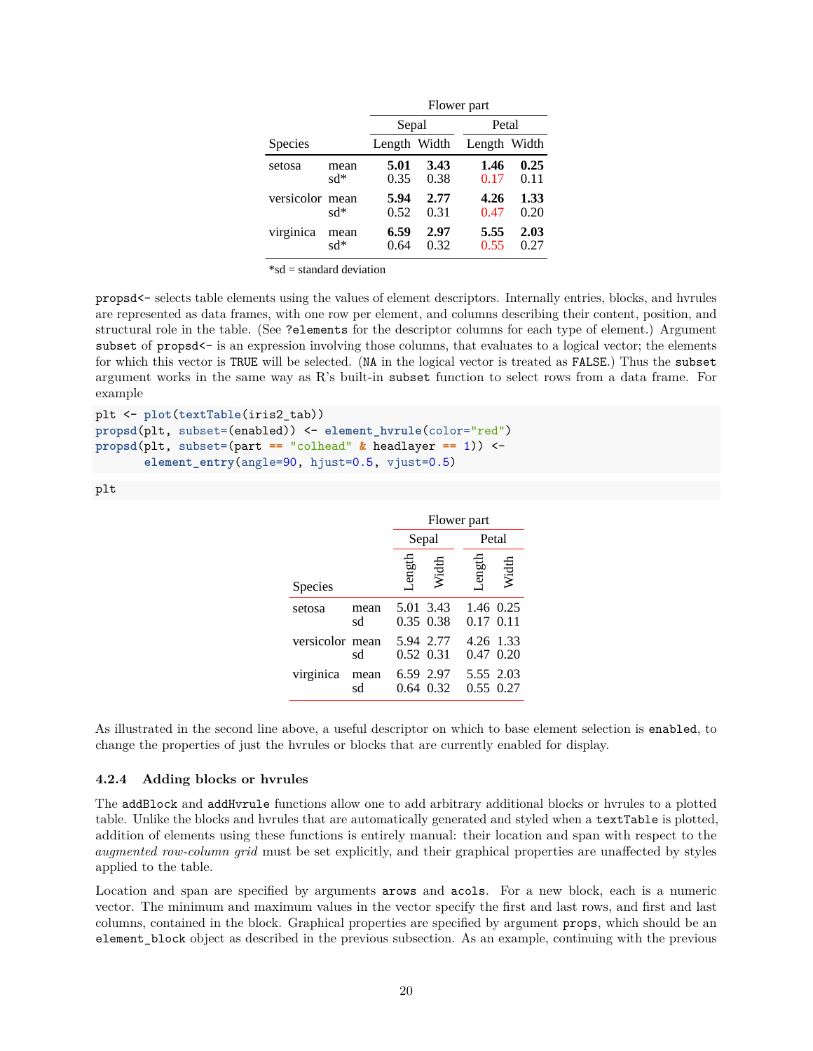|                 |             |              | Flower part  |              |              |  |  |
|-----------------|-------------|--------------|--------------|--------------|--------------|--|--|
|                 |             | Sepal        |              | Petal        |              |  |  |
| Species         |             | Length Width |              | Length Width |              |  |  |
| setosa          | mean<br>sd* | 5.01<br>0.35 | 3.43<br>0.38 | 1.46<br>0.17 | 0.25<br>0.11 |  |  |
| versicolor mean | $sd*$       | 5.94<br>0.52 | 2.77<br>0.31 | 4.26<br>0.47 | 1.33<br>0.20 |  |  |
| virginica       | mean<br>sd* | 6.59<br>0.64 | 2.97<br>0.32 | 5.55<br>0.55 | 2.03<br>0.27 |  |  |

\*sd = standard deviation

propsd<- selects table elements using the values of element descriptors. Internally entries, blocks, and hvrules are represented as data frames, with one row per element, and columns describing their content, position, and structural role in the table. (See ?elements for the descriptor columns for each type of element.) Argument subset of propsd<sup>--</sup> is an expression involving those columns, that evaluates to a logical vector; the elements for which this vector is TRUE will be selected. (NA in the logical vector is treated as FALSE.) Thus the subset argument works in the same way as R's built-in subset function to select rows from a data frame. For example

plt <- **plot**(**textTable**(iris2\_tab)) **propsd**(plt, subset=(enabled)) <- **element\_hvrule**(color="red") **propsd**(plt, subset=(part **==** "colhead" **&** headlayer **==** 1)) < **element\_entry**(angle=90, hjust=0.5, vjust=0.5)

> 5.01 3.43 0.35 0.38 5.94 2.77 0.52 0.31 6.59 2.97 0.64 0.32 1.46 0.25 0.17 0.11 4.26 1.33 0.47 0.20 5.55 2.03 0.55 0.27 setosa versicolor mean virginica mean sd sd mean sd Flower part Sepal Petal Species Length Width Length Width

As illustrated in the second line above, a useful descriptor on which to base element selection is enabled, to change the properties of just the hvrules or blocks that are currently enabled for display.

#### <span id="page-19-0"></span>**4.2.4 Adding blocks or hvrules**

The addBlock and addHvrule functions allow one to add arbitrary additional blocks or hvrules to a plotted table. Unlike the blocks and hvrules that are automatically generated and styled when a textTable is plotted, addition of elements using these functions is entirely manual: their location and span with respect to the *augmented row-column grid* must be set explicitly, and their graphical properties are unaffected by styles applied to the table.

Location and span are specified by arguments arows and acols. For a new block, each is a numeric vector. The minimum and maximum values in the vector specify the first and last rows, and first and last columns, contained in the block. Graphical properties are specified by argument props, which should be an element\_block object as described in the previous subsection. As an example, continuing with the previous

plt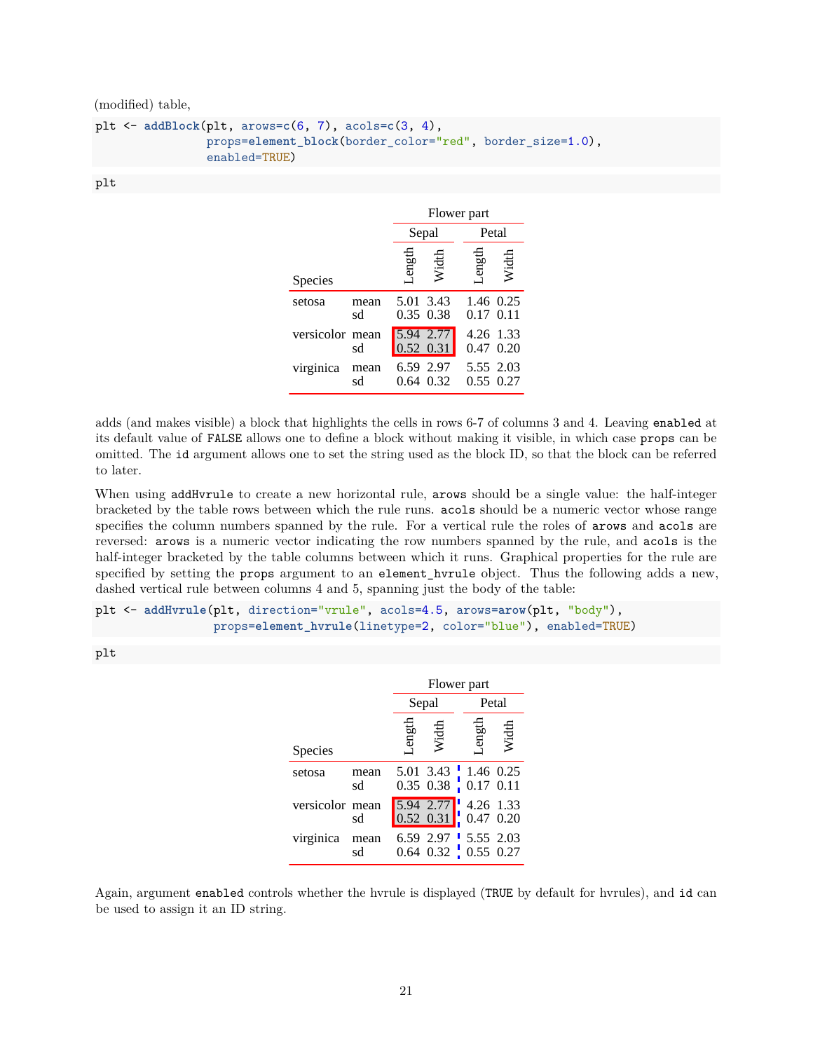(modified) table,

```
plt <- addBlock(plt, arows=c(6, 7), acols=c(3, 4),
                props=element_block(border_color="red", border_size=1.0),
                enabled=TRUE)
```
plt

|                 |            | Flower part |                          |                            |           |
|-----------------|------------|-------------|--------------------------|----------------------------|-----------|
|                 |            |             | Sepal                    | Petal                      |           |
| <b>Species</b>  |            | Length      | Width                    | ength                      | Width     |
| setosa          | mean<br>sd |             | 5.01 3.43<br>0.35 0.38   | $0.17$ $0.11$              | 1.46 0.25 |
| versicolor mean | sd         |             | 5.94 2.77<br>$0.52$ 0.31 | 4.26 1.33<br>$0.47$ $0.20$ |           |
| virginica       | mean<br>sd | 0.64        | 6.59 2.97<br>0.32        | 5.55 2.03<br>0.55 0.27     |           |

adds (and makes visible) a block that highlights the cells in rows 6-7 of columns 3 and 4. Leaving enabled at its default value of FALSE allows one to define a block without making it visible, in which case props can be omitted. The id argument allows one to set the string used as the block ID, so that the block can be referred to later.

When using addHvrule to create a new horizontal rule, arows should be a single value: the half-integer bracketed by the table rows between which the rule runs. acols should be a numeric vector whose range specifies the column numbers spanned by the rule. For a vertical rule the roles of arows and acols are reversed: arows is a numeric vector indicating the row numbers spanned by the rule, and acols is the half-integer bracketed by the table columns between which it runs. Graphical properties for the rule are specified by setting the props argument to an element\_hvrule object. Thus the following adds a new, dashed vertical rule between columns 4 and 5, spanning just the body of the table:

```
plt <- addHvrule(plt, direction="vrule", acols=4.5, arows=arow(plt, "body"),
                 props=element_hvrule(linetype=2, color="blue"), enabled=TRUE)
```
plt

|                 |            | Flower part |                                                                        |                        |       |  |
|-----------------|------------|-------------|------------------------------------------------------------------------|------------------------|-------|--|
|                 |            |             | Sepal                                                                  |                        | Petal |  |
| <b>Species</b>  |            | engtt       | Width                                                                  | Length                 | Width |  |
| setosa          | mean<br>sd |             | 5.01 3.43 $\frac{1}{1}$ 1.46 0.25<br>0.35 0.38 $\frac{1}{1}$ 0.17 0.11 |                        |       |  |
| versicolor mean | sd         |             | 5.94 2.77<br>$0.52$ $0.31$                                             | 4.26 1.33<br>0.47 0.20 |       |  |
| virginica       | mean<br>sd |             | 6.59 2.97 5.55 2.03<br>$0.64$ $0.32$ $0.55$ $0.27$                     |                        |       |  |

Again, argument enabled controls whether the hvrule is displayed (TRUE by default for hvrules), and id can be used to assign it an ID string.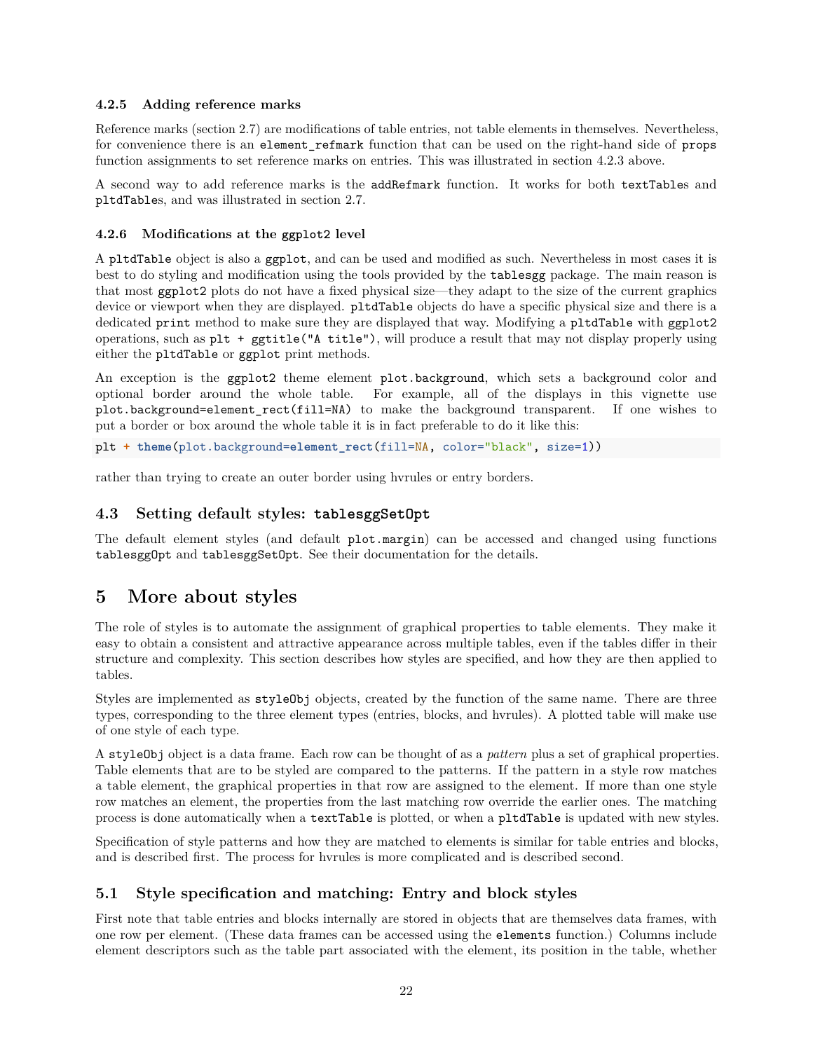#### <span id="page-21-0"></span>**4.2.5 Adding reference marks**

Reference marks (section 2.7) are modifications of table entries, not table elements in themselves. Nevertheless, for convenience there is an element\_refmark function that can be used on the right-hand side of props function assignments to set reference marks on entries. This was illustrated in section 4.2.3 above.

A second way to add reference marks is the addRefmark function. It works for both textTables and pltdTables, and was illustrated in section 2.7.

#### <span id="page-21-1"></span>**4.2.6 Modifications at the ggplot2 level**

A pltdTable object is also a ggplot, and can be used and modified as such. Nevertheless in most cases it is best to do styling and modification using the tools provided by the tablesgg package. The main reason is that most ggplot2 plots do not have a fixed physical size—they adapt to the size of the current graphics device or viewport when they are displayed. pltdTable objects do have a specific physical size and there is a dedicated print method to make sure they are displayed that way. Modifying a pltdTable with ggplot2 operations, such as plt + ggtitle("A title"), will produce a result that may not display properly using either the pltdTable or ggplot print methods.

An exception is the ggplot2 theme element plot.background, which sets a background color and optional border around the whole table. For example, all of the displays in this vignette use plot.background=element\_rect(fill=NA) to make the background transparent. If one wishes to put a border or box around the whole table it is in fact preferable to do it like this:

```
plt + theme(plot.background=element_rect(fill=NA, color="black", size=1))
```
rather than trying to create an outer border using hvrules or entry borders.

#### <span id="page-21-2"></span>**4.3 Setting default styles: tablesggSetOpt**

The default element styles (and default plot.margin) can be accessed and changed using functions tablesggOpt and tablesggSetOpt. See their documentation for the details.

## <span id="page-21-3"></span>**5 More about styles**

The role of styles is to automate the assignment of graphical properties to table elements. They make it easy to obtain a consistent and attractive appearance across multiple tables, even if the tables differ in their structure and complexity. This section describes how styles are specified, and how they are then applied to tables.

Styles are implemented as styleObj objects, created by the function of the same name. There are three types, corresponding to the three element types (entries, blocks, and hvrules). A plotted table will make use of one style of each type.

A styleObj object is a data frame. Each row can be thought of as a *pattern* plus a set of graphical properties. Table elements that are to be styled are compared to the patterns. If the pattern in a style row matches a table element, the graphical properties in that row are assigned to the element. If more than one style row matches an element, the properties from the last matching row override the earlier ones. The matching process is done automatically when a textTable is plotted, or when a pltdTable is updated with new styles.

Specification of style patterns and how they are matched to elements is similar for table entries and blocks, and is described first. The process for hvrules is more complicated and is described second.

### <span id="page-21-4"></span>**5.1 Style specification and matching: Entry and block styles**

First note that table entries and blocks internally are stored in objects that are themselves data frames, with one row per element. (These data frames can be accessed using the elements function.) Columns include element descriptors such as the table part associated with the element, its position in the table, whether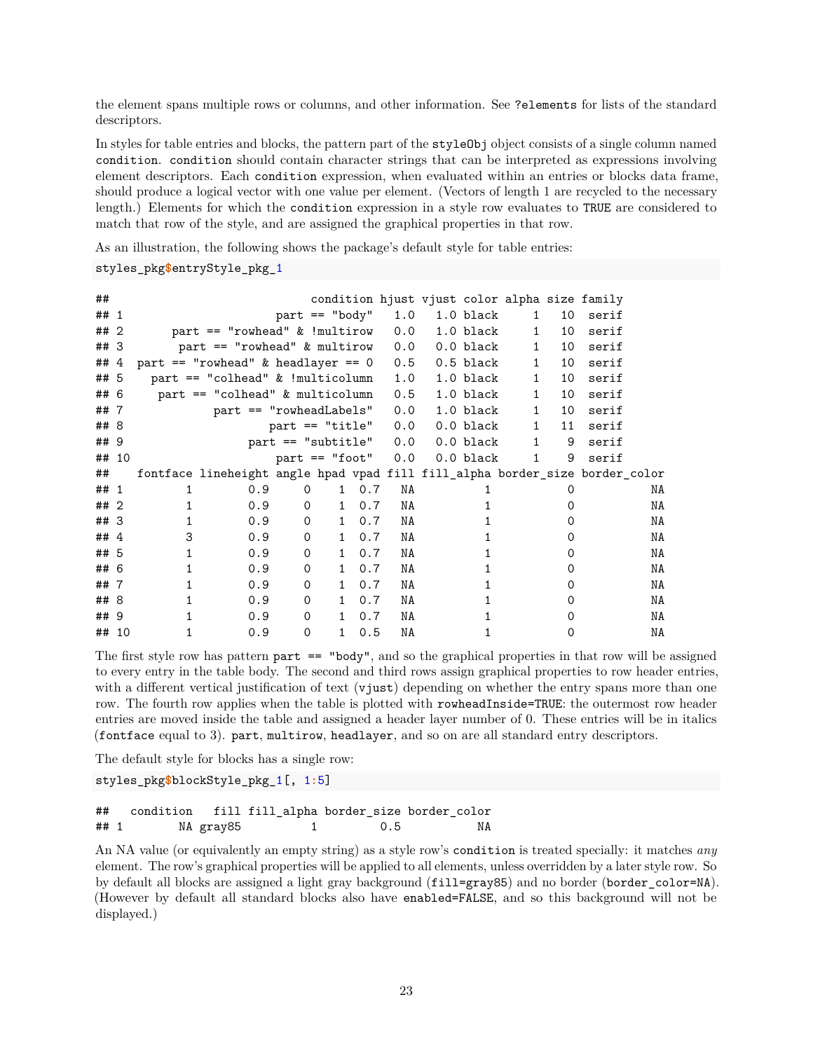the element spans multiple rows or columns, and other information. See ?elements for lists of the standard descriptors.

In styles for table entries and blocks, the pattern part of the styleObj object consists of a single column named condition. condition should contain character strings that can be interpreted as expressions involving element descriptors. Each condition expression, when evaluated within an entries or blocks data frame, should produce a logical vector with one value per element. (Vectors of length 1 are recycled to the necessary length.) Elements for which the condition expression in a style row evaluates to TRUE are considered to match that row of the style, and are assigned the graphical properties in that row.

As an illustration, the following shows the package's default style for table entries:

styles\_pkg**\$**entryStyle\_pkg\_1

| ##   |       |   |                                                                              |                            |              |     |     |           |              |    | condition hjust vjust color alpha size family |    |
|------|-------|---|------------------------------------------------------------------------------|----------------------------|--------------|-----|-----|-----------|--------------|----|-----------------------------------------------|----|
| ##   | 1     |   |                                                                              | $part == "body"$           |              |     | 1.0 | 1.0 black | 1            | 10 | serif                                         |    |
| ##   | 2     |   | $part == "rowhead" & !multirow$                                              |                            |              |     | 0.0 | 1.0 black | $\mathbf{1}$ | 10 | serif                                         |    |
| ## 3 |       |   | $part == "rowhead"$ & multirow                                               |                            |              |     | 0.0 | 0.0 black | $\mathbf{1}$ | 10 | serif                                         |    |
| ## 4 |       |   | part $==$ "rowhead" & headlayer $== 0$                                       |                            |              |     | 0.5 | 0.5 black | $\mathbf{1}$ | 10 | serif                                         |    |
| ## 5 |       |   | $part == "colhead" & !multicolumn$                                           |                            |              |     | 1.0 | 1.0 black | $\mathbf{1}$ | 10 | serif                                         |    |
| ##   | -6    |   | $part == "colhead" & multicolumn$                                            |                            |              |     | 0.5 | 1.0 black | $\mathbf{1}$ | 10 | serif                                         |    |
| ##7  |       |   | part == "rowheadLabels"                                                      |                            |              |     | 0.0 | 1.0 black | 1            | 10 | serif                                         |    |
| ## 8 |       |   |                                                                              | $part ==$ "title"          |              |     | 0.0 | 0.0 black | 1            | 11 | serif                                         |    |
| ## 9 |       |   |                                                                              | $part ==$ "subtitle" $0.0$ |              |     |     | 0.0 black | 1            | 9  | serif                                         |    |
|      | ## 10 |   |                                                                              | $part == "foot"$           |              |     | 0.0 | 0.0 black | 1            | 9  | serif                                         |    |
| ##   |       |   | fontface lineheight angle hpad vpad fill fill_alpha border_size border_color |                            |              |     |     |           |              |    |                                               |    |
| ## 1 |       | 1 | 0.9                                                                          | 0                          | $\mathbf{1}$ | 0.7 | NA  |           |              | Ω  |                                               | NA |
| ##   | 2     |   | 0.9                                                                          | $\Omega$                   | $\mathbf{1}$ | 0.7 | NA  |           |              |    |                                               | NA |
| ## 3 |       |   |                                                                              |                            |              |     |     |           |              |    |                                               |    |
| ##   |       |   | 0.9                                                                          | $\Omega$                   | $\mathbf{1}$ | 0.7 | NA  |           |              | Ω  |                                               | NA |
|      | 4     | 3 | 0.9                                                                          | $\Omega$                   | $\mathbf{1}$ | 0.7 | NA  |           |              | O  |                                               | NA |
| ##   | -5    | 1 | 0.9                                                                          | $\Omega$                   | $\mathbf{1}$ | 0.7 | NA  |           |              |    |                                               | NA |
| ## 6 |       |   | 0.9                                                                          | $\Omega$                   | $\mathbf{1}$ | 0.7 | NA  |           |              | 0  |                                               | NA |
| ##   | 7     | 1 | 0.9                                                                          | $\Omega$                   | $\mathbf{1}$ | 0.7 | NA  |           |              | O  |                                               | NA |
| ##   | 8     |   | 0.9                                                                          | $\Omega$                   | $\mathbf{1}$ | 0.7 | NA  |           |              | O  |                                               | NA |
| ## 9 |       |   | 0.9                                                                          | $\Omega$                   | $\mathbf{1}$ | 0.7 | NA  |           |              | O  |                                               | NA |

The first style row has pattern part == "body", and so the graphical properties in that row will be assigned to every entry in the table body. The second and third rows assign graphical properties to row header entries, with a different vertical justification of text (vjust) depending on whether the entry spans more than one row. The fourth row applies when the table is plotted with rowheadInside=TRUE: the outermost row header entries are moved inside the table and assigned a header layer number of 0. These entries will be in italics (fontface equal to 3). part, multirow, headlayer, and so on are all standard entry descriptors.

The default style for blocks has a single row:

styles\_pkg**\$**blockStyle\_pkg\_1[, 1**:**5]

## condition fill fill\_alpha border\_size border\_color ## 1 NA gray85 1 0.5 NA

An NA value (or equivalently an empty string) as a style row's condition is treated specially: it matches *any* element. The row's graphical properties will be applied to all elements, unless overridden by a later style row. So by default all blocks are assigned a light gray background (fill=gray85) and no border (border\_color=NA). (However by default all standard blocks also have enabled=FALSE, and so this background will not be displayed.)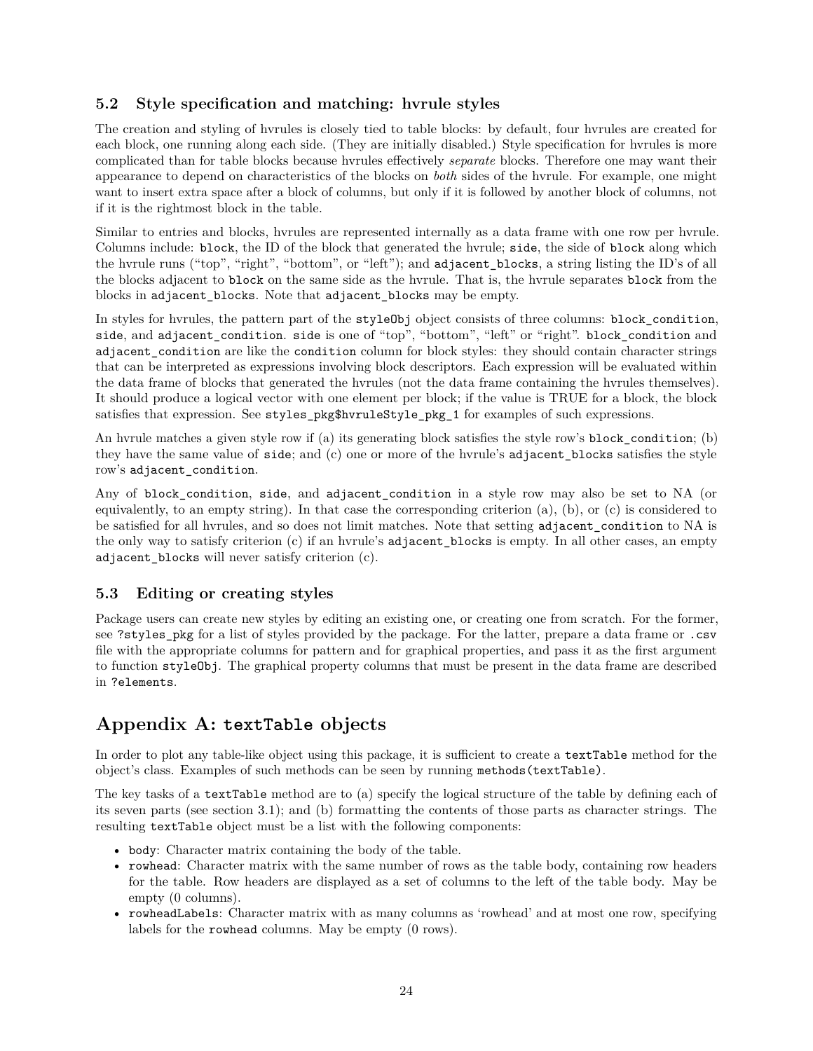## <span id="page-23-0"></span>**5.2 Style specification and matching: hvrule styles**

The creation and styling of hvrules is closely tied to table blocks: by default, four hvrules are created for each block, one running along each side. (They are initially disabled.) Style specification for hvrules is more complicated than for table blocks because hvrules effectively *separate* blocks. Therefore one may want their appearance to depend on characteristics of the blocks on *both* sides of the hvrule. For example, one might want to insert extra space after a block of columns, but only if it is followed by another block of columns, not if it is the rightmost block in the table.

Similar to entries and blocks, hvrules are represented internally as a data frame with one row per hvrule. Columns include: block, the ID of the block that generated the hvrule; side, the side of block along which the hvrule runs ("top", "right", "bottom", or "left"); and adjacent\_blocks, a string listing the ID's of all the blocks adjacent to block on the same side as the hvrule. That is, the hvrule separates block from the blocks in adjacent\_blocks. Note that adjacent\_blocks may be empty.

In styles for hvrules, the pattern part of the styleObj object consists of three columns: block\_condition, side, and adjacent\_condition. side is one of "top", "bottom", "left" or "right". block\_condition and adjacent\_condition are like the condition column for block styles: they should contain character strings that can be interpreted as expressions involving block descriptors. Each expression will be evaluated within the data frame of blocks that generated the hvrules (not the data frame containing the hvrules themselves). It should produce a logical vector with one element per block; if the value is TRUE for a block, the block satisfies that expression. See styles\_pkg\$hvruleStyle\_pkg\_1 for examples of such expressions.

An hvrule matches a given style row if (a) its generating block satisfies the style row's block\_condition; (b) they have the same value of side; and (c) one or more of the hvrule's adjacent\_blocks satisfies the style row's adjacent\_condition.

Any of block condition, side, and adjacent condition in a style row may also be set to NA (or equivalently, to an empty string). In that case the corresponding criterion (a), (b), or (c) is considered to be satisfied for all hvrules, and so does not limit matches. Note that setting adjacent\_condition to NA is the only way to satisfy criterion (c) if an hvrule's adjacent\_blocks is empty. In all other cases, an empty adjacent\_blocks will never satisfy criterion (c).

### <span id="page-23-1"></span>**5.3 Editing or creating styles**

Package users can create new styles by editing an existing one, or creating one from scratch. For the former, see ?styles\_pkg for a list of styles provided by the package. For the latter, prepare a data frame or .csv file with the appropriate columns for pattern and for graphical properties, and pass it as the first argument to function styleObj. The graphical property columns that must be present in the data frame are described in ?elements.

## <span id="page-23-2"></span>**Appendix A: textTable objects**

In order to plot any table-like object using this package, it is sufficient to create a textTable method for the object's class. Examples of such methods can be seen by running methods(textTable).

The key tasks of a textTable method are to (a) specify the logical structure of the table by defining each of its seven parts (see section 3.1); and (b) formatting the contents of those parts as character strings. The resulting textTable object must be a list with the following components:

- body: Character matrix containing the body of the table.
- rowhead: Character matrix with the same number of rows as the table body, containing row headers for the table. Row headers are displayed as a set of columns to the left of the table body. May be empty (0 columns).
- rowheadLabels: Character matrix with as many columns as 'rowhead' and at most one row, specifying labels for the rowhead columns. May be empty (0 rows).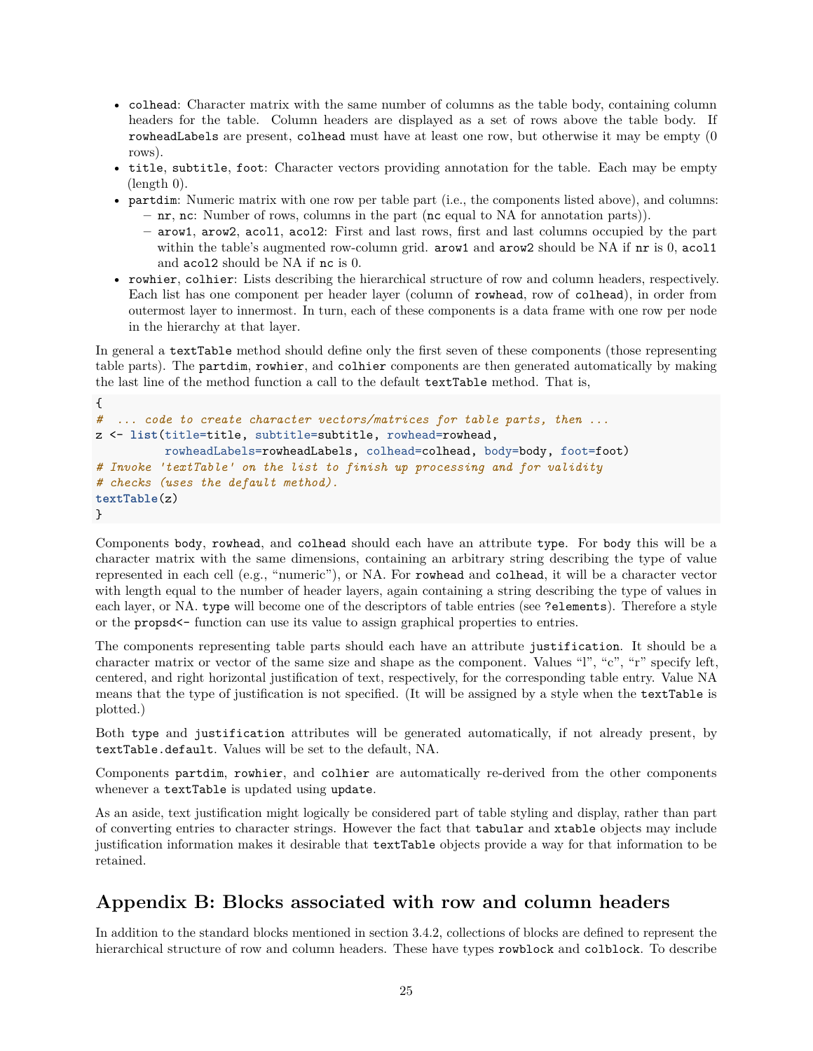- colhead: Character matrix with the same number of columns as the table body, containing column headers for the table. Column headers are displayed as a set of rows above the table body. If rowheadLabels are present, colhead must have at least one row, but otherwise it may be empty (0 rows).
- title, subtitle, foot: Character vectors providing annotation for the table. Each may be empty (length 0).
- partdim: Numeric matrix with one row per table part (i.e., the components listed above), and columns:
	- **–** nr, nc: Number of rows, columns in the part (nc equal to NA for annotation parts)).
	- **–** arow1, arow2, acol1, acol2: First and last rows, first and last columns occupied by the part within the table's augmented row-column grid. arow1 and arow2 should be NA if nr is 0, aco11 and acol2 should be NA if nc is 0.
- rowhier, colhier: Lists describing the hierarchical structure of row and column headers, respectively. Each list has one component per header layer (column of rowhead, row of colhead), in order from outermost layer to innermost. In turn, each of these components is a data frame with one row per node in the hierarchy at that layer.

In general a textTable method should define only the first seven of these components (those representing table parts). The partdim, rowhier, and colhier components are then generated automatically by making the last line of the method function a call to the default textTable method. That is,

```
{
# ... code to create character vectors/matrices for table parts, then ...
z <- list(title=title, subtitle=subtitle, rowhead=rowhead,
          rowheadLabels=rowheadLabels, colhead=colhead, body=body, foot=foot)
# Invoke 'textTable' on the list to finish up processing and for validity
# checks (uses the default method).
textTable(z)
}
```
Components body, rowhead, and colhead should each have an attribute type. For body this will be a character matrix with the same dimensions, containing an arbitrary string describing the type of value represented in each cell (e.g., "numeric"), or NA. For rowhead and colhead, it will be a character vector with length equal to the number of header layers, again containing a string describing the type of values in each layer, or NA. type will become one of the descriptors of table entries (see ?elements). Therefore a style or the propsd<- function can use its value to assign graphical properties to entries.

The components representing table parts should each have an attribute justification. It should be a character matrix or vector of the same size and shape as the component. Values "l", "c", "r" specify left, centered, and right horizontal justification of text, respectively, for the corresponding table entry. Value NA means that the type of justification is not specified. (It will be assigned by a style when the textTable is plotted.)

Both type and justification attributes will be generated automatically, if not already present, by textTable.default. Values will be set to the default, NA.

Components partdim, rowhier, and colhier are automatically re-derived from the other components whenever a textTable is updated using update.

As an aside, text justification might logically be considered part of table styling and display, rather than part of converting entries to character strings. However the fact that tabular and xtable objects may include justification information makes it desirable that textTable objects provide a way for that information to be retained.

## <span id="page-24-0"></span>**Appendix B: Blocks associated with row and column headers**

In addition to the standard blocks mentioned in section 3.4.2, collections of blocks are defined to represent the hierarchical structure of row and column headers. These have types rowblock and colblock. To describe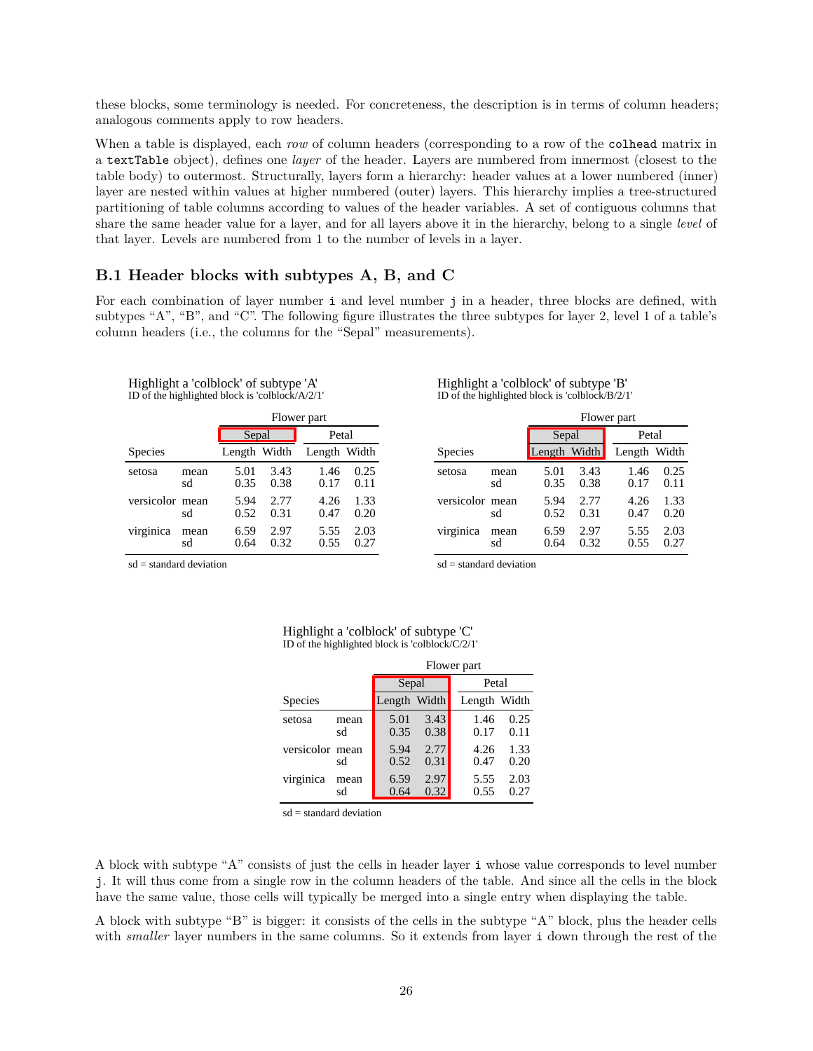these blocks, some terminology is needed. For concreteness, the description is in terms of column headers; analogous comments apply to row headers.

When a table is displayed, each *row* of column headers (corresponding to a row of the colhead matrix in a textTable object), defines one *layer* of the header. Layers are numbered from innermost (closest to the table body) to outermost. Structurally, layers form a hierarchy: header values at a lower numbered (inner) layer are nested within values at higher numbered (outer) layers. This hierarchy implies a tree-structured partitioning of table columns according to values of the header variables. A set of contiguous columns that share the same header value for a layer, and for all layers above it in the hierarchy, belong to a single *level* of that layer. Levels are numbered from 1 to the number of levels in a layer.

#### <span id="page-25-0"></span>**B.1 Header blocks with subtypes A, B, and C**

For each combination of layer number i and level number j in a header, three blocks are defined, with subtypes "A", "B", and "C". The following figure illustrates the three subtypes for layer 2, level 1 of a table's column headers (i.e., the columns for the "Sepal" measurements).

| $\mu$ of the ingility measured by considerating $\mu$ |            |              |              |              |              |  |
|-------------------------------------------------------|------------|--------------|--------------|--------------|--------------|--|
|                                                       |            |              | Flower part  |              |              |  |
|                                                       |            | Sepal        |              | Petal        |              |  |
| Species                                               |            | Length Width |              | Length Width |              |  |
| setosa                                                | mean<br>sd | 5.01<br>0.35 | 3.43<br>0.38 | 1.46<br>0.17 | 0.25<br>0.11 |  |
| versicolor mean                                       | sd         | 5.94<br>0.52 | 2.77<br>0.31 | 4.26<br>0.47 | 1.33<br>0.20 |  |
| virginica                                             | mean<br>sd | 6.59<br>0.64 | 2.97<br>0.32 | 5.55<br>0.55 | 2.03<br>0.27 |  |

| Highlight a 'colblock' of subtype 'A'                |  |
|------------------------------------------------------|--|
| ID of the highlighted block is 'colblock/ $A/2/1'$ ' |  |

| Highlight a 'colblock' of subtype 'B'           |  |  |
|-------------------------------------------------|--|--|
| ID of the highlighted block is 'colblock/B/2/1' |  |  |

|                 |            | Flower part  |              |              |              |  |
|-----------------|------------|--------------|--------------|--------------|--------------|--|
|                 |            | Sepal        |              | Petal        |              |  |
| Species         |            | Length Width |              | Length Width |              |  |
| setosa          | mean<br>sd | 5.01<br>0.35 | 3.43<br>0.38 | 1.46<br>0.17 | 0.25<br>0.11 |  |
| versicolor mean | sd         | 5.94<br>0.52 | 2.77<br>0.31 | 4.26<br>0.47 | 1.33<br>0.20 |  |
| virginica       | mean<br>sd | 6.59<br>0.64 | 2.97<br>0.32 | 5.55<br>0.55 | 2.03<br>0.27 |  |

sd = standard deviation

sd = standard deviation

|                 |            | Flower part  |              |              |              |  |
|-----------------|------------|--------------|--------------|--------------|--------------|--|
|                 |            | Sepal        |              | Petal        |              |  |
| Species         |            | Length Width |              | Length Width |              |  |
| setosa          | mean<br>sd | 5.01<br>0.35 | 3.43<br>0.38 | 1.46<br>0.17 | 0.25<br>0.11 |  |
| versicolor mean | sd         | 5.94<br>0.52 | 2.77<br>0.31 | 4.26<br>0.47 | 1.33<br>0.20 |  |
| virginica       | mean<br>sd | 6.59<br>0.64 | 2.97<br>0.32 | 5.55<br>0.55 | 2.03<br>0.27 |  |

#### Highlight a 'colblock' of subtype 'C' ID of the highlighted block is 'colblock/C/2/1'

sd = standard deviation

A block with subtype "A" consists of just the cells in header layer i whose value corresponds to level number j. It will thus come from a single row in the column headers of the table. And since all the cells in the block have the same value, those cells will typically be merged into a single entry when displaying the table.

A block with subtype "B" is bigger: it consists of the cells in the subtype "A" block, plus the header cells with *smaller* layer numbers in the same columns. So it extends from layer i down through the rest of the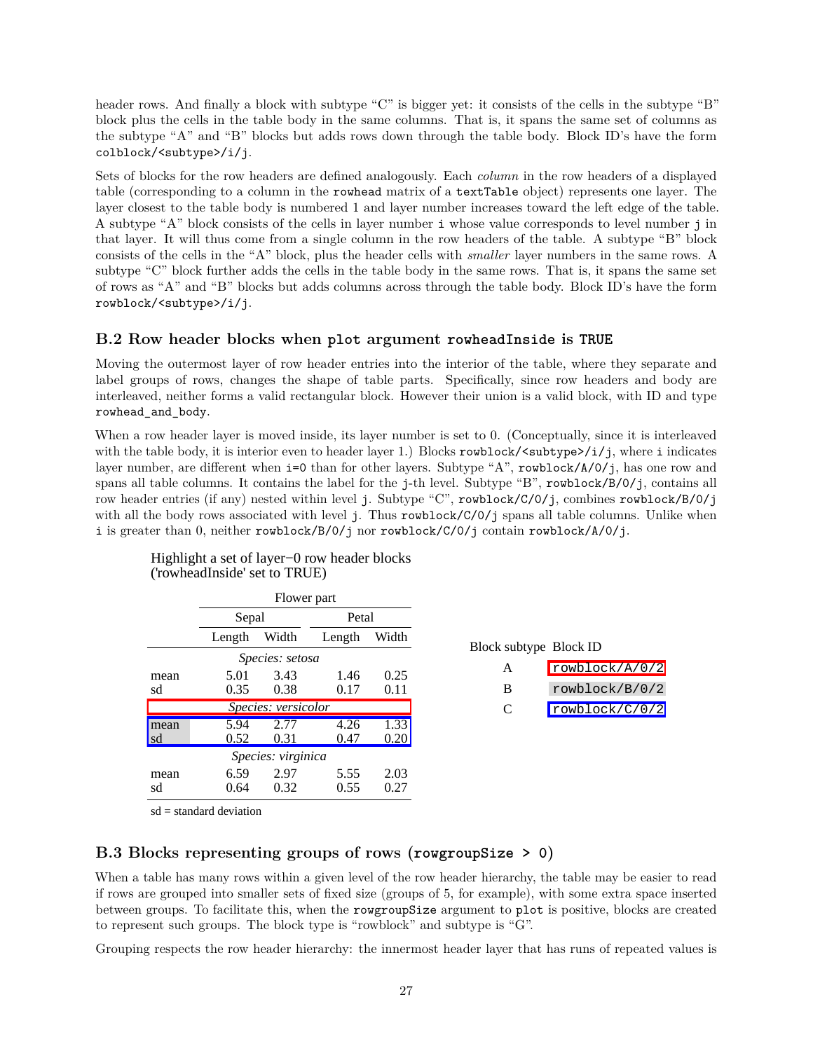header rows. And finally a block with subtype "C" is bigger yet: it consists of the cells in the subtype "B" block plus the cells in the table body in the same columns. That is, it spans the same set of columns as the subtype "A" and "B" blocks but adds rows down through the table body. Block ID's have the form colblock/<subtype>/i/j.

Sets of blocks for the row headers are defined analogously. Each *column* in the row headers of a displayed table (corresponding to a column in the rowhead matrix of a textTable object) represents one layer. The layer closest to the table body is numbered 1 and layer number increases toward the left edge of the table. A subtype "A" block consists of the cells in layer number i whose value corresponds to level number j in that layer. It will thus come from a single column in the row headers of the table. A subtype "B" block consists of the cells in the "A" block, plus the header cells with *smaller* layer numbers in the same rows. A subtype "C" block further adds the cells in the table body in the same rows. That is, it spans the same set of rows as "A" and "B" blocks but adds columns across through the table body. Block ID's have the form rowblock/<subtype>/i/j.

### <span id="page-26-0"></span>**B.2 Row header blocks when plot argument rowheadInside is TRUE**

Moving the outermost layer of row header entries into the interior of the table, where they separate and label groups of rows, changes the shape of table parts. Specifically, since row headers and body are interleaved, neither forms a valid rectangular block. However their union is a valid block, with ID and type rowhead\_and\_body.

When a row header layer is moved inside, its layer number is set to 0. (Conceptually, since it is interleaved with the table body, it is interior even to header layer 1.) Blocks rowblock/<subtype>/i/j, where i indicates layer number, are different when i=0 than for other layers. Subtype "A", rowblock/A/0/j, has one row and spans all table columns. It contains the label for the j-th level. Subtype "B", rowblock/B/0/j, contains all row header entries (if any) nested within level j. Subtype "C", rowblock/C/0/j, combines rowblock/B/0/j with all the body rows associated with level j. Thus rowblock/C/0/j spans all table columns. Unlike when i is greater than 0, neither rowblock/B/0/j nor rowblock/C/0/j contain rowblock/A/0/j.

|      | Flower part |                     |        |       |  |
|------|-------------|---------------------|--------|-------|--|
|      | Sepal       |                     | Petal  |       |  |
|      | Length      | Width               | Length | Width |  |
|      |             | Species: setosa     |        |       |  |
| mean | 5.01        | 3.43                | 1.46   | 0.25  |  |
| sd   | 0.35        | 0.38                | 0.17   | 0.11  |  |
|      |             | Species: versicolor |        |       |  |
| mean | 5.94        | 2.77                | 4.26   | 1.33  |  |
| sd   | 0.52        | 0.31                | 0.47   | 0.20  |  |
|      |             | Species: virginica  |        |       |  |
| mean | 6.59        | 2.97                | 5.55   | 2.03  |  |
| sd   | 0.64        | 0.32                | 0.55   | 0.27  |  |

Highlight a set of layer−0 row header blocks ('rowheadInside' set to TRUE)

Block subtype Block ID

| A                 | rowblock/A/0/2 |
|-------------------|----------------|
| B                 | rowblock/B/0/2 |
| $\mathbf{\Gamma}$ | rowblock/C/0/2 |

sd = standard deviation

## <span id="page-26-1"></span>**B.3 Blocks representing groups of rows (rowgroupSize > 0)**

When a table has many rows within a given level of the row header hierarchy, the table may be easier to read if rows are grouped into smaller sets of fixed size (groups of 5, for example), with some extra space inserted between groups. To facilitate this, when the rowgroupSize argument to plot is positive, blocks are created to represent such groups. The block type is "rowblock" and subtype is "G".

Grouping respects the row header hierarchy: the innermost header layer that has runs of repeated values is